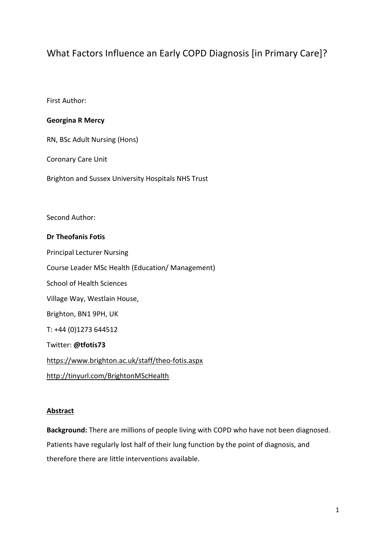# What Factors Influence an Early COPD Diagnosis [in Primary Care]?

First Author:

# **Georgina R Mercy**

RN, BSc Adult Nursing (Hons)

Coronary Care Unit

Brighton and Sussex University Hospitals NHS Trust

Second Author:

## **Dr Theofanis Fotis**

Principal Lecturer Nursing Course Leader MSc Health (Education/ Management) School of Health Sciences Village Way, Westlain House, Brighton, BN1 9PH, UK T: +44 (0)1273 644512 Twitter: **@tfotis73** <https://www.brighton.ac.uk/staff/theo-fotis.aspx> <http://tinyurl.com/BrightonMScHealth>

## **Abstract**

**Background:** There are millions of people living with COPD who have not been diagnosed. Patients have regularly lost half of their lung function by the point of diagnosis, and therefore there are little interventions available.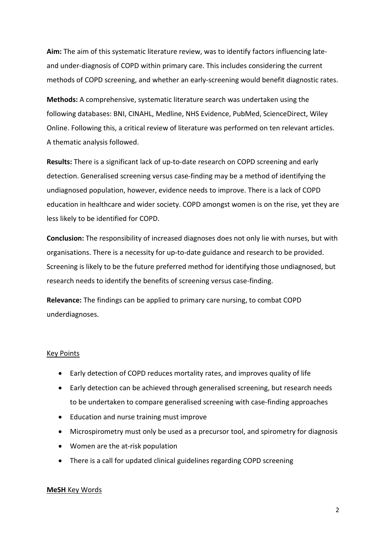**Aim:** The aim of this systematic literature review, was to identify factors influencing lateand under-diagnosis of COPD within primary care. This includes considering the current methods of COPD screening, and whether an early-screening would benefit diagnostic rates.

**Methods:** A comprehensive, systematic literature search was undertaken using the following databases: BNI, CINAHL, Medline, NHS Evidence, PubMed, ScienceDirect, Wiley Online. Following this, a critical review of literature was performed on ten relevant articles. A thematic analysis followed.

**Results:** There is a significant lack of up-to-date research on COPD screening and early detection. Generalised screening versus case-finding may be a method of identifying the undiagnosed population, however, evidence needs to improve. There is a lack of COPD education in healthcare and wider society. COPD amongst women is on the rise, yet they are less likely to be identified for COPD.

**Conclusion:** The responsibility of increased diagnoses does not only lie with nurses, but with organisations. There is a necessity for up-to-date guidance and research to be provided. Screening is likely to be the future preferred method for identifying those undiagnosed, but research needs to identify the benefits of screening versus case-finding.

**Relevance:** The findings can be applied to primary care nursing, to combat COPD underdiagnoses.

## Key Points

- Early detection of COPD reduces mortality rates, and improves quality of life
- Early detection can be achieved through generalised screening, but research needs to be undertaken to compare generalised screening with case-finding approaches
- Education and nurse training must improve
- Microspirometry must only be used as a precursor tool, and spirometry for diagnosis
- Women are the at-risk population
- There is a call for updated clinical guidelines regarding COPD screening

#### **MeSH** Key Words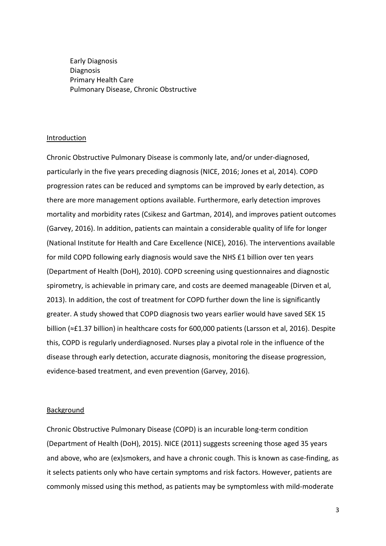Early Diagnosis Diagnosis Primary Health Care Pulmonary Disease, Chronic Obstructive

#### Introduction

Chronic Obstructive Pulmonary Disease is commonly late, and/or under-diagnosed, particularly in the five years preceding diagnosis (NICE, 2016; Jones et al, 2014). COPD progression rates can be reduced and symptoms can be improved by early detection, as there are more management options available. Furthermore, early detection improves mortality and morbidity rates (Csikesz and Gartman, 2014), and improves patient outcomes (Garvey, 2016). In addition, patients can maintain a considerable quality of life for longer (National Institute for Health and Care Excellence (NICE), 2016). The interventions available for mild COPD following early diagnosis would save the NHS £1 billion over ten years (Department of Health (DoH), 2010). COPD screening using questionnaires and diagnostic spirometry, is achievable in primary care, and costs are deemed manageable (Dirven et al, 2013). In addition, the cost of treatment for COPD further down the line is significantly greater. A study showed that COPD diagnosis two years earlier would have saved SEK 15 billion (≈£1.37 billion) in healthcare costs for 600,000 patients (Larsson et al, 2016). Despite this, COPD is regularly underdiagnosed. Nurses play a pivotal role in the influence of the disease through early detection, accurate diagnosis, monitoring the disease progression, evidence-based treatment, and even prevention (Garvey, 2016).

#### Background

Chronic Obstructive Pulmonary Disease (COPD) is an incurable long-term condition (Department of Health (DoH), 2015). NICE (2011) suggests screening those aged 35 years and above, who are (ex)smokers, and have a chronic cough. This is known as case-finding, as it selects patients only who have certain symptoms and risk factors. However, patients are commonly missed using this method, as patients may be symptomless with mild-moderate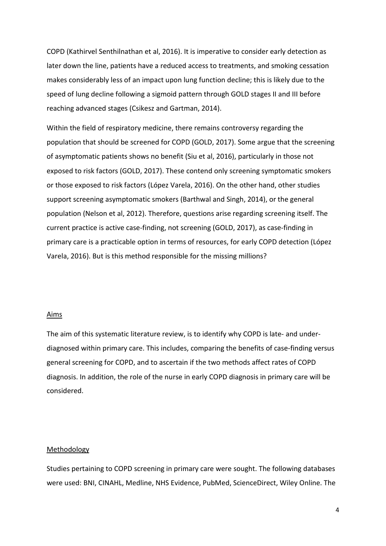COPD (Kathirvel Senthilnathan et al, 2016). It is imperative to consider early detection as later down the line, patients have a reduced access to treatments, and smoking cessation makes considerably less of an impact upon lung function decline; this is likely due to the speed of lung decline following a sigmoid pattern through GOLD stages II and III before reaching advanced stages (Csikesz and Gartman, 2014).

Within the field of respiratory medicine, there remains controversy regarding the population that should be screened for COPD (GOLD, 2017). Some argue that the screening of asymptomatic patients shows no benefit (Siu et al, 2016), particularly in those not exposed to risk factors (GOLD, 2017). These contend only screening symptomatic smokers or those exposed to risk factors (López Varela, 2016). On the other hand, other studies support screening asymptomatic smokers (Barthwal and Singh, 2014), or the general population (Nelson et al, 2012). Therefore, questions arise regarding screening itself. The current practice is active case-finding, not screening (GOLD, 2017), as case-finding in primary care is a practicable option in terms of resources, for early COPD detection (López Varela, 2016). But is this method responsible for the missing millions?

#### Aims

The aim of this systematic literature review, is to identify why COPD is late- and underdiagnosed within primary care. This includes, comparing the benefits of case-finding versus general screening for COPD, and to ascertain if the two methods affect rates of COPD diagnosis. In addition, the role of the nurse in early COPD diagnosis in primary care will be considered.

#### Methodology

Studies pertaining to COPD screening in primary care were sought. The following databases were used: BNI, CINAHL, Medline, NHS Evidence, PubMed, ScienceDirect, Wiley Online. The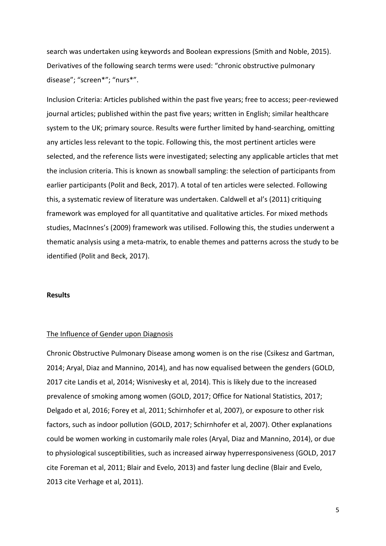search was undertaken using keywords and Boolean expressions (Smith and Noble, 2015). Derivatives of the following search terms were used: "chronic obstructive pulmonary disease"; "screen\*"; "nurs\*".

Inclusion Criteria: Articles published within the past five years; free to access; peer-reviewed journal articles; published within the past five years; written in English; similar healthcare system to the UK; primary source. Results were further limited by hand-searching, omitting any articles less relevant to the topic. Following this, the most pertinent articles were selected, and the reference lists were investigated; selecting any applicable articles that met the inclusion criteria. This is known as snowball sampling: the selection of participants from earlier participants (Polit and Beck, 2017). A total of ten articles were selected. Following this, a systematic review of literature was undertaken. Caldwell et al's (2011) critiquing framework was employed for all quantitative and qualitative articles. For mixed methods studies, MacInnes's (2009) framework was utilised. Following this, the studies underwent a thematic analysis using a meta-matrix, to enable themes and patterns across the study to be identified (Polit and Beck, 2017).

## **Results**

#### The Influence of Gender upon Diagnosis

Chronic Obstructive Pulmonary Disease among women is on the rise (Csikesz and Gartman, 2014; Aryal, Diaz and Mannino, 2014), and has now equalised between the genders (GOLD, 2017 cite Landis et al, 2014; Wisnivesky et al, 2014). This is likely due to the increased prevalence of smoking among women (GOLD, 2017; Office for National Statistics, 2017; Delgado et al, 2016; Forey et al, 2011; Schirnhofer et al, 2007), or exposure to other risk factors, such as indoor pollution (GOLD, 2017; Schirnhofer et al, 2007). Other explanations could be women working in customarily male roles (Aryal, Diaz and Mannino, 2014), or due to physiological susceptibilities, such as increased airway hyperresponsiveness (GOLD, 2017 cite Foreman et al, 2011; Blair and Evelo, 2013) and faster lung decline (Blair and Evelo, 2013 cite Verhage et al, 2011).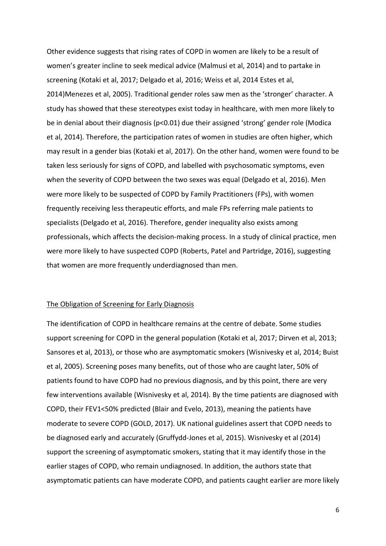Other evidence suggests that rising rates of COPD in women are likely to be a result of women's greater incline to seek medical advice (Malmusi et al, 2014) and to partake in screening (Kotaki et al, 2017; Delgado et al, 2016; Weiss et al, 2014 Estes et al, 2014)Menezes et al, 2005). Traditional gender roles saw men as the 'stronger' character. A study has showed that these stereotypes exist today in healthcare, with men more likely to be in denial about their diagnosis (p<0.01) due their assigned 'strong' gender role (Modica et al, 2014). Therefore, the participation rates of women in studies are often higher, which may result in a gender bias (Kotaki et al, 2017). On the other hand, women were found to be taken less seriously for signs of COPD, and labelled with psychosomatic symptoms, even when the severity of COPD between the two sexes was equal (Delgado et al, 2016). Men were more likely to be suspected of COPD by Family Practitioners (FPs), with women frequently receiving less therapeutic efforts, and male FPs referring male patients to specialists (Delgado et al, 2016). Therefore, gender inequality also exists among professionals, which affects the decision-making process. In a study of clinical practice, men were more likely to have suspected COPD (Roberts, Patel and Partridge, 2016), suggesting that women are more frequently underdiagnosed than men.

#### The Obligation of Screening for Early Diagnosis

The identification of COPD in healthcare remains at the centre of debate. Some studies support screening for COPD in the general population (Kotaki et al, 2017; Dirven et al, 2013; Sansores et al, 2013), or those who are asymptomatic smokers (Wisnivesky et al, 2014; Buist et al, 2005). Screening poses many benefits, out of those who are caught later, 50% of patients found to have COPD had no previous diagnosis, and by this point, there are very few interventions available (Wisnivesky et al, 2014). By the time patients are diagnosed with COPD, their FEV1<50% predicted (Blair and Evelo, 2013), meaning the patients have moderate to severe COPD (GOLD, 2017). UK national guidelines assert that COPD needs to be diagnosed early and accurately (Gruffydd-Jones et al, 2015). Wisnivesky et al (2014) support the screening of asymptomatic smokers, stating that it may identify those in the earlier stages of COPD, who remain undiagnosed. In addition, the authors state that asymptomatic patients can have moderate COPD, and patients caught earlier are more likely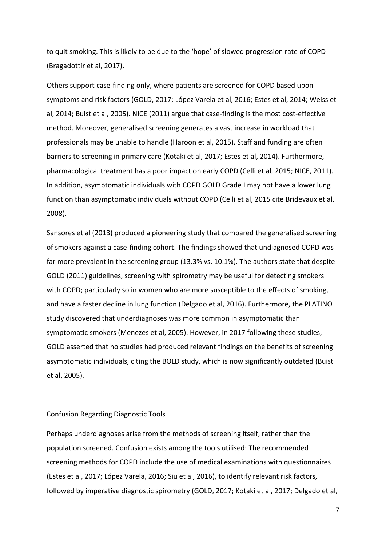to quit smoking. This is likely to be due to the 'hope' of slowed progression rate of COPD (Bragadottir et al, 2017).

Others support case-finding only, where patients are screened for COPD based upon symptoms and risk factors (GOLD, 2017; López Varela et al, 2016; Estes et al, 2014; Weiss et al, 2014; Buist et al, 2005). NICE (2011) argue that case-finding is the most cost-effective method. Moreover, generalised screening generates a vast increase in workload that professionals may be unable to handle (Haroon et al, 2015). Staff and funding are often barriers to screening in primary care (Kotaki et al, 2017; Estes et al, 2014). Furthermore, pharmacological treatment has a poor impact on early COPD (Celli et al, 2015; NICE, 2011). In addition, asymptomatic individuals with COPD GOLD Grade I may not have a lower lung function than asymptomatic individuals without COPD (Celli et al, 2015 cite Bridevaux et al, 2008).

Sansores et al (2013) produced a pioneering study that compared the generalised screening of smokers against a case-finding cohort. The findings showed that undiagnosed COPD was far more prevalent in the screening group (13.3% vs. 10.1%). The authors state that despite GOLD (2011) guidelines, screening with spirometry may be useful for detecting smokers with COPD; particularly so in women who are more susceptible to the effects of smoking, and have a faster decline in lung function (Delgado et al, 2016). Furthermore, the PLATINO study discovered that underdiagnoses was more common in asymptomatic than symptomatic smokers (Menezes et al, 2005). However, in 2017 following these studies, GOLD asserted that no studies had produced relevant findings on the benefits of screening asymptomatic individuals, citing the BOLD study, which is now significantly outdated (Buist et al, 2005).

## Confusion Regarding Diagnostic Tools

Perhaps underdiagnoses arise from the methods of screening itself, rather than the population screened. Confusion exists among the tools utilised: The recommended screening methods for COPD include the use of medical examinations with questionnaires (Estes et al, 2017; López Varela, 2016; Siu et al, 2016), to identify relevant risk factors, followed by imperative diagnostic spirometry (GOLD, 2017; Kotaki et al, 2017; Delgado et al,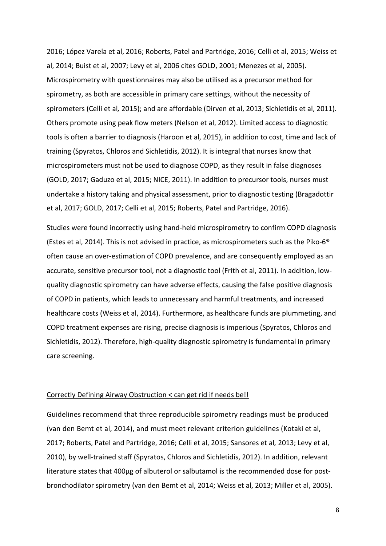2016; López Varela et al, 2016; Roberts, Patel and Partridge, 2016; Celli et al, 2015; Weiss et al, 2014; Buist et al, 2007; Levy et al, 2006 cites GOLD, 2001; Menezes et al, 2005). Microspirometry with questionnaires may also be utilised as a precursor method for spirometry, as both are accessible in primary care settings, without the necessity of spirometers (Celli et al*,* 2015); and are affordable (Dirven et al, 2013; Sichletidis et al, 2011). Others promote using peak flow meters (Nelson et al, 2012). Limited access to diagnostic tools is often a barrier to diagnosis (Haroon et al, 2015), in addition to cost, time and lack of training (Spyratos, Chloros and Sichletidis, 2012). It is integral that nurses know that microspirometers must not be used to diagnose COPD, as they result in false diagnoses (GOLD, 2017; Gaduzo et al, 2015; NICE, 2011). In addition to precursor tools, nurses must undertake a history taking and physical assessment, prior to diagnostic testing (Bragadottir et al, 2017; GOLD, 2017; Celli et al, 2015; Roberts, Patel and Partridge, 2016).

Studies were found incorrectly using hand-held microspirometry to confirm COPD diagnosis (Estes et al, 2014). This is not advised in practice, as microspirometers such as the Piko-6® often cause an over-estimation of COPD prevalence, and are consequently employed as an accurate, sensitive precursor tool, not a diagnostic tool (Frith et al, 2011). In addition, lowquality diagnostic spirometry can have adverse effects, causing the false positive diagnosis of COPD in patients, which leads to unnecessary and harmful treatments, and increased healthcare costs (Weiss et al, 2014). Furthermore, as healthcare funds are plummeting, and COPD treatment expenses are rising, precise diagnosis is imperious (Spyratos, Chloros and Sichletidis, 2012). Therefore, high-quality diagnostic spirometry is fundamental in primary care screening.

#### Correctly Defining Airway Obstruction < can get rid if needs be!!

Guidelines recommend that three reproducible spirometry readings must be produced (van den Bemt et al, 2014), and must meet relevant criterion guidelines (Kotaki et al, 2017; Roberts, Patel and Partridge, 2016; Celli et al, 2015; Sansores et al*,* 2013; Levy et al, 2010), by well-trained staff (Spyratos, Chloros and Sichletidis, 2012). In addition, relevant literature states that 400μg of albuterol or salbutamol is the recommended dose for postbronchodilator spirometry (van den Bemt et al, 2014; Weiss et al, 2013; Miller et al, 2005).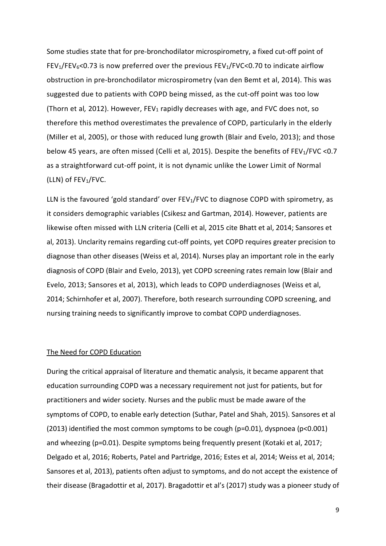Some studies state that for pre-bronchodilator microspirometry, a fixed cut-off point of FEV<sub>1</sub>/FEV<sub>6</sub><0.73 is now preferred over the previous FEV<sub>1</sub>/FVC<0.70 to indicate airflow obstruction in pre-bronchodilator microspirometry (van den Bemt et al, 2014). This was suggested due to patients with COPD being missed, as the cut-off point was too low (Thorn et al, 2012). However, FEV<sub>1</sub> rapidly decreases with age, and FVC does not, so therefore this method overestimates the prevalence of COPD, particularly in the elderly (Miller et al, 2005), or those with reduced lung growth (Blair and Evelo, 2013); and those below 45 years, are often missed (Celli et al, 2015). Despite the benefits of FEV<sub>1</sub>/FVC <0.7 as a straightforward cut-off point, it is not dynamic unlike the Lower Limit of Normal (LLN) of  $FEV_1/FVC$ .

LLN is the favoured 'gold standard' over  $FEV<sub>1</sub>/FVC$  to diagnose COPD with spirometry, as it considers demographic variables (Csikesz and Gartman, 2014). However, patients are likewise often missed with LLN criteria (Celli et al, 2015 cite Bhatt et al, 2014; Sansores et al, 2013). Unclarity remains regarding cut-off points, yet COPD requires greater precision to diagnose than other diseases (Weiss et al, 2014). Nurses play an important role in the early diagnosis of COPD (Blair and Evelo, 2013), yet COPD screening rates remain low (Blair and Evelo, 2013; Sansores et al, 2013), which leads to COPD underdiagnoses (Weiss et al, 2014; Schirnhofer et al, 2007). Therefore, both research surrounding COPD screening, and nursing training needs to significantly improve to combat COPD underdiagnoses.

## The Need for COPD Education

During the critical appraisal of literature and thematic analysis, it became apparent that education surrounding COPD was a necessary requirement not just for patients, but for practitioners and wider society. Nurses and the public must be made aware of the symptoms of COPD, to enable early detection (Suthar, Patel and Shah, 2015). Sansores et al (2013) identified the most common symptoms to be cough (p=0.01), dyspnoea (p<0.001) and wheezing (p=0.01). Despite symptoms being frequently present (Kotaki et al, 2017; Delgado et al, 2016; Roberts, Patel and Partridge, 2016; Estes et al, 2014; Weiss et al, 2014; Sansores et al, 2013), patients often adjust to symptoms, and do not accept the existence of their disease (Bragadottir et al, 2017). Bragadottir et al's (2017) study was a pioneer study of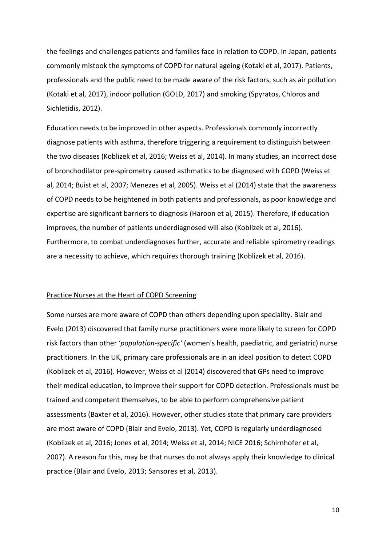the feelings and challenges patients and families face in relation to COPD. In Japan, patients commonly mistook the symptoms of COPD for natural ageing (Kotaki et al, 2017). Patients, professionals and the public need to be made aware of the risk factors, such as air pollution (Kotaki et al, 2017), indoor pollution (GOLD, 2017) and smoking (Spyratos, Chloros and Sichletidis, 2012).

Education needs to be improved in other aspects. Professionals commonly incorrectly diagnose patients with asthma, therefore triggering a requirement to distinguish between the two diseases (Koblizek et al, 2016; Weiss et al, 2014). In many studies, an incorrect dose of bronchodilator pre-spirometry caused asthmatics to be diagnosed with COPD (Weiss et al, 2014; Buist et al, 2007; Menezes et al, 2005). Weiss et al (2014) state that the awareness of COPD needs to be heightened in both patients and professionals, as poor knowledge and expertise are significant barriers to diagnosis (Haroon et al, 2015). Therefore, if education improves, the number of patients underdiagnosed will also (Koblizek et al, 2016). Furthermore, to combat underdiagnoses further, accurate and reliable spirometry readings are a necessity to achieve, which requires thorough training (Koblizek et al, 2016).

#### Practice Nurses at the Heart of COPD Screening

Some nurses are more aware of COPD than others depending upon speciality. Blair and Evelo (2013) discovered that family nurse practitioners were more likely to screen for COPD risk factors than other '*population-specific'* (women's health, paediatric, and geriatric) nurse practitioners. In the UK, primary care professionals are in an ideal position to detect COPD (Koblizek et al, 2016). However, Weiss et al (2014) discovered that GPs need to improve their medical education, to improve their support for COPD detection. Professionals must be trained and competent themselves, to be able to perform comprehensive patient assessments (Baxter et al, 2016). However, other studies state that primary care providers are most aware of COPD (Blair and Evelo, 2013). Yet, COPD is regularly underdiagnosed (Koblizek et al, 2016; Jones et al, 2014; Weiss et al, 2014; NICE 2016; Schirnhofer et al, 2007). A reason for this, may be that nurses do not always apply their knowledge to clinical practice (Blair and Evelo, 2013; Sansores et al, 2013).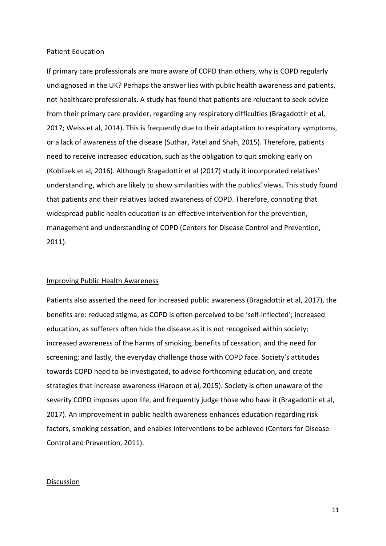#### Patient Education

If primary care professionals are more aware of COPD than others, why is COPD regularly undiagnosed in the UK? Perhaps the answer lies with public health awareness and patients, not healthcare professionals. A study has found that patients are reluctant to seek advice from their primary care provider, regarding any respiratory difficulties (Bragadottir et al, 2017; Weiss et al, 2014). This is frequently due to their adaptation to respiratory symptoms, or a lack of awareness of the disease (Suthar, Patel and Shah, 2015). Therefore, patients need to receive increased education, such as the obligation to quit smoking early on (Koblizek et al, 2016). Although Bragadottir et al (2017) study it incorporated relatives' understanding, which are likely to show similarities with the publics' views. This study found that patients and their relatives lacked awareness of COPD. Therefore, connoting that widespread public health education is an effective intervention for the prevention, management and understanding of COPD (Centers for Disease Control and Prevention, 2011).

### Improving Public Health Awareness

Patients also asserted the need for increased public awareness (Bragadottir et al, 2017), the benefits are: reduced stigma, as COPD is often perceived to be 'self-inflected'; increased education, as sufferers often hide the disease as it is not recognised within society; increased awareness of the harms of smoking, benefits of cessation, and the need for screening; and lastly, the everyday challenge those with COPD face. Society's attitudes towards COPD need to be investigated, to advise forthcoming education, and create strategies that increase awareness (Haroon et al, 2015). Society is often unaware of the severity COPD imposes upon life, and frequently judge those who have it (Bragadottir et al, 2017). An improvement in public health awareness enhances education regarding risk factors, smoking cessation, and enables interventions to be achieved (Centers for Disease Control and Prevention, 2011).

#### Discussion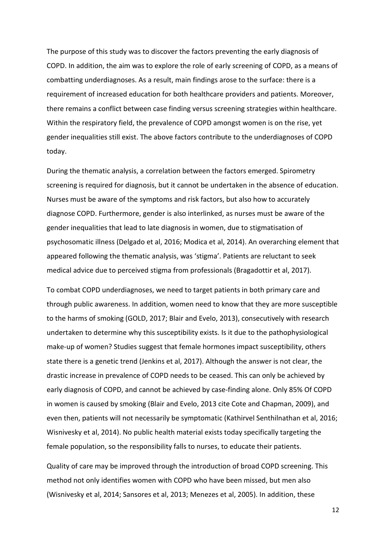The purpose of this study was to discover the factors preventing the early diagnosis of COPD. In addition, the aim was to explore the role of early screening of COPD, as a means of combatting underdiagnoses. As a result, main findings arose to the surface: there is a requirement of increased education for both healthcare providers and patients. Moreover, there remains a conflict between case finding versus screening strategies within healthcare. Within the respiratory field, the prevalence of COPD amongst women is on the rise, yet gender inequalities still exist. The above factors contribute to the underdiagnoses of COPD today.

During the thematic analysis, a correlation between the factors emerged. Spirometry screening is required for diagnosis, but it cannot be undertaken in the absence of education. Nurses must be aware of the symptoms and risk factors, but also how to accurately diagnose COPD. Furthermore, gender is also interlinked, as nurses must be aware of the gender inequalities that lead to late diagnosis in women, due to stigmatisation of psychosomatic illness (Delgado et al, 2016; Modica et al, 2014). An overarching element that appeared following the thematic analysis, was 'stigma'. Patients are reluctant to seek medical advice due to perceived stigma from professionals (Bragadottir et al, 2017).

To combat COPD underdiagnoses, we need to target patients in both primary care and through public awareness. In addition, women need to know that they are more susceptible to the harms of smoking (GOLD, 2017; Blair and Evelo, 2013), consecutively with research undertaken to determine why this susceptibility exists. Is it due to the pathophysiological make-up of women? Studies suggest that female hormones impact susceptibility, others state there is a genetic trend (Jenkins et al, 2017). Although the answer is not clear, the drastic increase in prevalence of COPD needs to be ceased. This can only be achieved by early diagnosis of COPD, and cannot be achieved by case-finding alone. Only 85% Of COPD in women is caused by smoking (Blair and Evelo, 2013 cite Cote and Chapman, 2009), and even then, patients will not necessarily be symptomatic (Kathirvel Senthilnathan et al, 2016; Wisnivesky et al, 2014). No public health material exists today specifically targeting the female population, so the responsibility falls to nurses, to educate their patients.

Quality of care may be improved through the introduction of broad COPD screening. This method not only identifies women with COPD who have been missed, but men also (Wisnivesky et al, 2014; Sansores et al, 2013; Menezes et al, 2005). In addition, these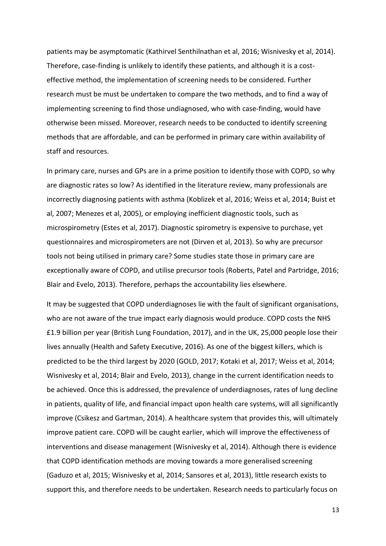patients may be asymptomatic (Kathirvel Senthilnathan et al, 2016; Wisnivesky et al, 2014). Therefore, case-finding is unlikely to identify these patients, and although it is a costeffective method, the implementation of screening needs to be considered. Further research must be must be undertaken to compare the two methods, and to find a way of implementing screening to find those undiagnosed, who with case-finding, would have otherwise been missed. Moreover, research needs to be conducted to identify screening methods that are affordable, and can be performed in primary care within availability of staff and resources.

In primary care, nurses and GPs are in a prime position to identify those with COPD, so why are diagnostic rates so low? As identified in the literature review, many professionals are incorrectly diagnosing patients with asthma (Koblizek et al, 2016; Weiss et al, 2014; Buist et al, 2007; Menezes et al, 2005), or employing inefficient diagnostic tools, such as microspirometry (Estes et al, 2017). Diagnostic spirometry is expensive to purchase, yet questionnaires and microspirometers are not (Dirven et al, 2013). So why are precursor tools not being utilised in primary care? Some studies state those in primary care are exceptionally aware of COPD, and utilise precursor tools (Roberts, Patel and Partridge, 2016; Blair and Evelo, 2013). Therefore, perhaps the accountability lies elsewhere.

It may be suggested that COPD underdiagnoses lie with the fault of significant organisations, who are not aware of the true impact early diagnosis would produce. COPD costs the NHS £1.9 billion per year (British Lung Foundation, 2017), and in the UK, 25,000 people lose their lives annually (Health and Safety Executive, 2016). As one of the biggest killers, which is predicted to be the third largest by 2020 (GOLD, 2017; Kotaki et al, 2017; Weiss et al, 2014; Wisnivesky et al, 2014; Blair and Evelo, 2013), change in the current identification needs to be achieved. Once this is addressed, the prevalence of underdiagnoses, rates of lung decline in patients, quality of life, and financial impact upon health care systems, will all significantly improve (Csikesz and Gartman, 2014). A healthcare system that provides this, will ultimately improve patient care. COPD will be caught earlier, which will improve the effectiveness of interventions and disease management (Wisnivesky et al, 2014). Although there is evidence that COPD identification methods are moving towards a more generalised screening (Gaduzo et al, 2015; Wisnivesky et al, 2014; Sansores et al, 2013), little research exists to support this, and therefore needs to be undertaken. Research needs to particularly focus on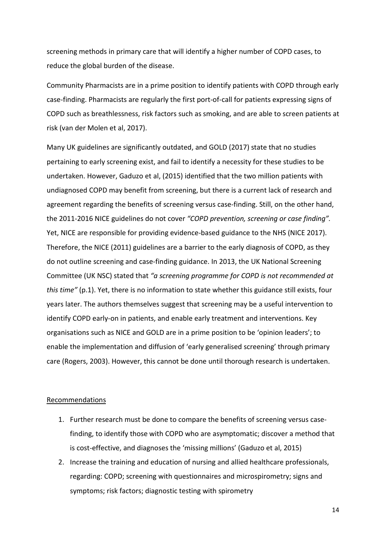screening methods in primary care that will identify a higher number of COPD cases, to reduce the global burden of the disease.

Community Pharmacists are in a prime position to identify patients with COPD through early case-finding. Pharmacists are regularly the first port-of-call for patients expressing signs of COPD such as breathlessness, risk factors such as smoking, and are able to screen patients at risk (van der Molen et al, 2017).

Many UK guidelines are significantly outdated, and GOLD (2017) state that no studies pertaining to early screening exist, and fail to identify a necessity for these studies to be undertaken. However, Gaduzo et al, (2015) identified that the two million patients with undiagnosed COPD may benefit from screening, but there is a current lack of research and agreement regarding the benefits of screening versus case-finding. Still, on the other hand, the 2011-2016 NICE guidelines do not cover *"COPD prevention, screening or case finding".* Yet, NICE are responsible for providing evidence-based guidance to the NHS (NICE 2017). Therefore, the NICE (2011) guidelines are a barrier to the early diagnosis of COPD, as they do not outline screening and case-finding guidance. In 2013, the UK National Screening Committee (UK NSC) stated that *"a screening programme for COPD is not recommended at this time"* (p.1). Yet, there is no information to state whether this guidance still exists, four years later. The authors themselves suggest that screening may be a useful intervention to identify COPD early-on in patients, and enable early treatment and interventions. Key organisations such as NICE and GOLD are in a prime position to be 'opinion leaders'; to enable the implementation and diffusion of 'early generalised screening' through primary care (Rogers, 2003). However, this cannot be done until thorough research is undertaken.

#### Recommendations

- 1. Further research must be done to compare the benefits of screening versus casefinding, to identify those with COPD who are asymptomatic; discover a method that is cost-effective, and diagnoses the 'missing millions' (Gaduzo et al, 2015)
- 2. Increase the training and education of nursing and allied healthcare professionals, regarding: COPD; screening with questionnaires and microspirometry; signs and symptoms; risk factors; diagnostic testing with spirometry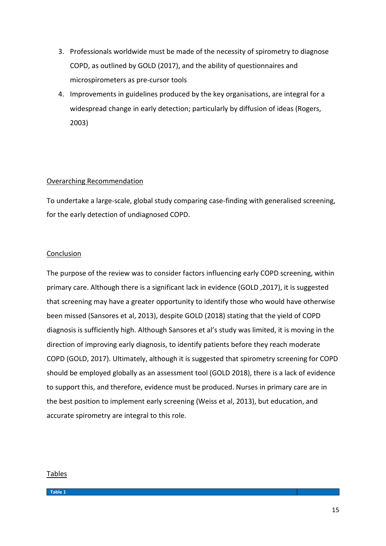- 3. Professionals worldwide must be made of the necessity of spirometry to diagnose COPD, as outlined by GOLD (2017), and the ability of questionnaires and microspirometers as pre-cursor tools
- 4. Improvements in guidelines produced by the key organisations, are integral for a widespread change in early detection; particularly by diffusion of ideas (Rogers, 2003)

## Overarching Recommendation

To undertake a large-scale, global study comparing case-finding with generalised screening, for the early detection of undiagnosed COPD.

# Conclusion

The purpose of the review was to consider factors influencing early COPD screening, within primary care. Although there is a significant lack in evidence (GOLD ,2017), it is suggested that screening may have a greater opportunity to identify those who would have otherwise been missed (Sansores et al, 2013), despite GOLD (2018) stating that the yield of COPD diagnosis is sufficiently high. Although Sansores et al's study was limited, it is moving in the direction of improving early diagnosis, to identify patients before they reach moderate COPD (GOLD, 2017). Ultimately, although it is suggested that spirometry screening for COPD should be employed globally as an assessment tool (GOLD 2018), there is a lack of evidence to support this, and therefore, evidence must be produced. Nurses in primary care are in the best position to implement early screening (Weiss et al, 2013), but education, and accurate spirometry are integral to this role.

## Tables

**Table 1**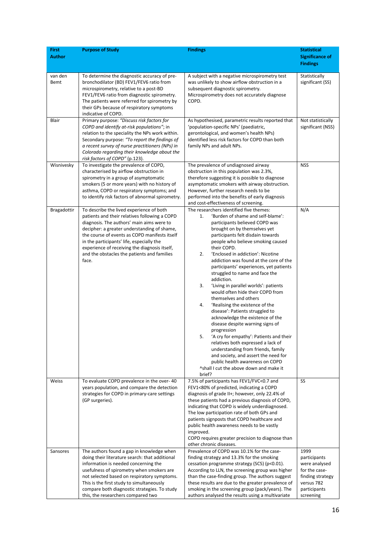| Author<br><b>Significance of</b><br><b>Findings</b><br>van den<br>To determine the diagnostic accuracy of pre-<br>A subject with a negative microspirometry test<br>Statistically<br>significant (SS)<br>Bemt<br>bronchodilator (BD) FEV1/FEV6 ratio from<br>was unlikely to show airflow obstruction in a<br>microspirometry, relative to a post-BD<br>subsequent diagnostic spirometry.<br>FEV1/FEV6 ratio from diagnostic spirometry.<br>Microspirometry does not accurately diagnose<br>The patients were referred for spirometry by<br>COPD.<br>their GPs because of respiratory symptoms<br>indicative of COPD.<br>Primary purpose: "Discuss risk factors for<br>As hypothesised, parametric results reported that<br>Not statistically<br>Blair<br>COPD and identify at-risk populations"; in<br>'population-specific NPs' (paediatric,<br>significant (NSS)<br>relation to the speciality the NPs work within.<br>gerontological, and women's health NPs)<br>Secondary purpose: "To report the findings of<br>identified less risk factors for COPD than both<br>a recent survey of nurse practitioners (NPs) in<br>family NPs and adult NPs.<br>Colorado regarding their knowledge about the<br>risk factors of COPD" (p.123).<br>To investigate the prevalence of COPD,<br>The prevalence of undiagnosed airway<br><b>NSS</b><br>Wisnivesky<br>characterised by airflow obstruction in<br>obstruction in this population was 2.3%,<br>spirometry in a group of asymptomatic<br>therefore suggesting it is possible to diagnose<br>smokers (5 or more years) with no history of<br>asymptomatic smokers with airway obstruction.<br>asthma, COPD or respiratory symptoms; and<br>However, further research needs to be<br>to identify risk factors of abnormal spirometry.<br>performed into the benefits of early diagnosis<br>and cost-effectiveness of screening.<br>The researchers identified five themes:<br>N/A<br>Bragadottir<br>To describe the lived experience of both<br>patients and their relatives following a COPD<br>'Burden of shame and self-blame':<br>1.<br>diagnosis. The authors' main aims were to<br>participants believed COPD was<br>decipher: a greater understanding of shame,<br>brought on by themselves yet<br>the course of events as COPD manifests itself<br>participants felt disdain towards<br>in the participants' life, especially the<br>people who believe smoking caused<br>experience of receiving the diagnosis itself,<br>their COPD.<br>and the obstacles the patients and families<br>2.<br>'Enclosed in addiction': Nicotine<br>addiction was found at the core of the<br>face.<br>participants' experiences, yet patients<br>struggled to name and face the<br>addiction.<br>'Living in parallel worlds': patients<br>3.<br>would often hide their COPD from<br>themselves and others<br>4.<br>'Realising the existence of the<br>disease': Patients struggled to<br>acknowledge the existence of the<br>disease despite warning signs of<br>progression<br>'A cry for empathy': Patients and their<br>5.<br>relatives both expressed a lack of<br>understanding from friends, family<br>and society, and assert the need for<br>public health awareness on COPD<br>^shall I cut the above down and make it<br>brief?<br>To evaluate COPD prevalence in the over-40<br>7.5% of participants has FEV1/FVC<0.7 and<br>SS<br>Weiss<br>years population, and compare the detection<br>FEV1<80% of predicted, indicating a COPD<br>strategies for COPD in primary-care settings<br>diagnosis of grade II+; however, only 22.4% of<br>these patients had a previous diagnosis of COPD,<br>(GP surgeries).<br>indicating that COPD is widely underdiagnosed.<br>The low participation rate of both GPs and<br>patients signposts that COPD healthcare and<br>public health awareness needs to be vastly<br>improved.<br>COPD requires greater precision to diagnose than<br>other chronic diseases.<br>The authors found a gap in knowledge when<br>Prevalence of COPD was 10.1% for the case-<br>1999<br>Sansores<br>doing their literature search: that additional<br>finding strategy and 13.3% for the smoking<br>participants<br>cessation programme strategy (SCS) (p<0.01).<br>information is needed concerning the<br>were analysed<br>According to LLN, the screening group was higher<br>usefulness of spirometry when smokers are<br>for the case-<br>not selected based on respiratory symptoms.<br>than the case-finding group. The authors suggest<br>finding strategy<br>these results are due to the greater prevalence of<br>This is the first study to simultaneously<br>versus 782<br>compare both diagnostic strategies. To study<br>smoking in the screening group (pack/years). The<br>participants | <b>First</b> | <b>Purpose of Study</b>            | <b>Findings</b>                                   | <b>Statistical</b> |
|-------------------------------------------------------------------------------------------------------------------------------------------------------------------------------------------------------------------------------------------------------------------------------------------------------------------------------------------------------------------------------------------------------------------------------------------------------------------------------------------------------------------------------------------------------------------------------------------------------------------------------------------------------------------------------------------------------------------------------------------------------------------------------------------------------------------------------------------------------------------------------------------------------------------------------------------------------------------------------------------------------------------------------------------------------------------------------------------------------------------------------------------------------------------------------------------------------------------------------------------------------------------------------------------------------------------------------------------------------------------------------------------------------------------------------------------------------------------------------------------------------------------------------------------------------------------------------------------------------------------------------------------------------------------------------------------------------------------------------------------------------------------------------------------------------------------------------------------------------------------------------------------------------------------------------------------------------------------------------------------------------------------------------------------------------------------------------------------------------------------------------------------------------------------------------------------------------------------------------------------------------------------------------------------------------------------------------------------------------------------------------------------------------------------------------------------------------------------------------------------------------------------------------------------------------------------------------------------------------------------------------------------------------------------------------------------------------------------------------------------------------------------------------------------------------------------------------------------------------------------------------------------------------------------------------------------------------------------------------------------------------------------------------------------------------------------------------------------------------------------------------------------------------------------------------------------------------------------------------------------------------------------------------------------------------------------------------------------------------------------------------------------------------------------------------------------------------------------------------------------------------------------------------------------------------------------------------------------------------------------------------------------------------------------------------------------------------------------------------------------------------------------------------------------------------------------------------------------------------------------------------------------------------------------------------------------------------------------------------------------------------------------------------------------------------------------------------------------------------------------------------------------------------------------------------------------------------------------------------------------------------------------------------------------------------------------------------------------------------------------------------------------------------------------------------------------------------------------------------------------------------------------------------------------------------------------------------------------------------------------------------------------------------------------------------------------------------------------------------------------------------------------------------|--------------|------------------------------------|---------------------------------------------------|--------------------|
|                                                                                                                                                                                                                                                                                                                                                                                                                                                                                                                                                                                                                                                                                                                                                                                                                                                                                                                                                                                                                                                                                                                                                                                                                                                                                                                                                                                                                                                                                                                                                                                                                                                                                                                                                                                                                                                                                                                                                                                                                                                                                                                                                                                                                                                                                                                                                                                                                                                                                                                                                                                                                                                                                                                                                                                                                                                                                                                                                                                                                                                                                                                                                                                                                                                                                                                                                                                                                                                                                                                                                                                                                                                                                                                                                                                                                                                                                                                                                                                                                                                                                                                                                                                                                                                                                                                                                                                                                                                                                                                                                                                                                                                                                                                                                                               |              |                                    |                                                   |                    |
|                                                                                                                                                                                                                                                                                                                                                                                                                                                                                                                                                                                                                                                                                                                                                                                                                                                                                                                                                                                                                                                                                                                                                                                                                                                                                                                                                                                                                                                                                                                                                                                                                                                                                                                                                                                                                                                                                                                                                                                                                                                                                                                                                                                                                                                                                                                                                                                                                                                                                                                                                                                                                                                                                                                                                                                                                                                                                                                                                                                                                                                                                                                                                                                                                                                                                                                                                                                                                                                                                                                                                                                                                                                                                                                                                                                                                                                                                                                                                                                                                                                                                                                                                                                                                                                                                                                                                                                                                                                                                                                                                                                                                                                                                                                                                                               |              |                                    |                                                   |                    |
|                                                                                                                                                                                                                                                                                                                                                                                                                                                                                                                                                                                                                                                                                                                                                                                                                                                                                                                                                                                                                                                                                                                                                                                                                                                                                                                                                                                                                                                                                                                                                                                                                                                                                                                                                                                                                                                                                                                                                                                                                                                                                                                                                                                                                                                                                                                                                                                                                                                                                                                                                                                                                                                                                                                                                                                                                                                                                                                                                                                                                                                                                                                                                                                                                                                                                                                                                                                                                                                                                                                                                                                                                                                                                                                                                                                                                                                                                                                                                                                                                                                                                                                                                                                                                                                                                                                                                                                                                                                                                                                                                                                                                                                                                                                                                                               |              |                                    |                                                   |                    |
|                                                                                                                                                                                                                                                                                                                                                                                                                                                                                                                                                                                                                                                                                                                                                                                                                                                                                                                                                                                                                                                                                                                                                                                                                                                                                                                                                                                                                                                                                                                                                                                                                                                                                                                                                                                                                                                                                                                                                                                                                                                                                                                                                                                                                                                                                                                                                                                                                                                                                                                                                                                                                                                                                                                                                                                                                                                                                                                                                                                                                                                                                                                                                                                                                                                                                                                                                                                                                                                                                                                                                                                                                                                                                                                                                                                                                                                                                                                                                                                                                                                                                                                                                                                                                                                                                                                                                                                                                                                                                                                                                                                                                                                                                                                                                                               |              |                                    |                                                   |                    |
|                                                                                                                                                                                                                                                                                                                                                                                                                                                                                                                                                                                                                                                                                                                                                                                                                                                                                                                                                                                                                                                                                                                                                                                                                                                                                                                                                                                                                                                                                                                                                                                                                                                                                                                                                                                                                                                                                                                                                                                                                                                                                                                                                                                                                                                                                                                                                                                                                                                                                                                                                                                                                                                                                                                                                                                                                                                                                                                                                                                                                                                                                                                                                                                                                                                                                                                                                                                                                                                                                                                                                                                                                                                                                                                                                                                                                                                                                                                                                                                                                                                                                                                                                                                                                                                                                                                                                                                                                                                                                                                                                                                                                                                                                                                                                                               |              |                                    |                                                   |                    |
|                                                                                                                                                                                                                                                                                                                                                                                                                                                                                                                                                                                                                                                                                                                                                                                                                                                                                                                                                                                                                                                                                                                                                                                                                                                                                                                                                                                                                                                                                                                                                                                                                                                                                                                                                                                                                                                                                                                                                                                                                                                                                                                                                                                                                                                                                                                                                                                                                                                                                                                                                                                                                                                                                                                                                                                                                                                                                                                                                                                                                                                                                                                                                                                                                                                                                                                                                                                                                                                                                                                                                                                                                                                                                                                                                                                                                                                                                                                                                                                                                                                                                                                                                                                                                                                                                                                                                                                                                                                                                                                                                                                                                                                                                                                                                                               |              |                                    |                                                   |                    |
|                                                                                                                                                                                                                                                                                                                                                                                                                                                                                                                                                                                                                                                                                                                                                                                                                                                                                                                                                                                                                                                                                                                                                                                                                                                                                                                                                                                                                                                                                                                                                                                                                                                                                                                                                                                                                                                                                                                                                                                                                                                                                                                                                                                                                                                                                                                                                                                                                                                                                                                                                                                                                                                                                                                                                                                                                                                                                                                                                                                                                                                                                                                                                                                                                                                                                                                                                                                                                                                                                                                                                                                                                                                                                                                                                                                                                                                                                                                                                                                                                                                                                                                                                                                                                                                                                                                                                                                                                                                                                                                                                                                                                                                                                                                                                                               |              |                                    |                                                   |                    |
|                                                                                                                                                                                                                                                                                                                                                                                                                                                                                                                                                                                                                                                                                                                                                                                                                                                                                                                                                                                                                                                                                                                                                                                                                                                                                                                                                                                                                                                                                                                                                                                                                                                                                                                                                                                                                                                                                                                                                                                                                                                                                                                                                                                                                                                                                                                                                                                                                                                                                                                                                                                                                                                                                                                                                                                                                                                                                                                                                                                                                                                                                                                                                                                                                                                                                                                                                                                                                                                                                                                                                                                                                                                                                                                                                                                                                                                                                                                                                                                                                                                                                                                                                                                                                                                                                                                                                                                                                                                                                                                                                                                                                                                                                                                                                                               |              |                                    |                                                   |                    |
|                                                                                                                                                                                                                                                                                                                                                                                                                                                                                                                                                                                                                                                                                                                                                                                                                                                                                                                                                                                                                                                                                                                                                                                                                                                                                                                                                                                                                                                                                                                                                                                                                                                                                                                                                                                                                                                                                                                                                                                                                                                                                                                                                                                                                                                                                                                                                                                                                                                                                                                                                                                                                                                                                                                                                                                                                                                                                                                                                                                                                                                                                                                                                                                                                                                                                                                                                                                                                                                                                                                                                                                                                                                                                                                                                                                                                                                                                                                                                                                                                                                                                                                                                                                                                                                                                                                                                                                                                                                                                                                                                                                                                                                                                                                                                                               |              |                                    |                                                   |                    |
|                                                                                                                                                                                                                                                                                                                                                                                                                                                                                                                                                                                                                                                                                                                                                                                                                                                                                                                                                                                                                                                                                                                                                                                                                                                                                                                                                                                                                                                                                                                                                                                                                                                                                                                                                                                                                                                                                                                                                                                                                                                                                                                                                                                                                                                                                                                                                                                                                                                                                                                                                                                                                                                                                                                                                                                                                                                                                                                                                                                                                                                                                                                                                                                                                                                                                                                                                                                                                                                                                                                                                                                                                                                                                                                                                                                                                                                                                                                                                                                                                                                                                                                                                                                                                                                                                                                                                                                                                                                                                                                                                                                                                                                                                                                                                                               |              |                                    |                                                   |                    |
|                                                                                                                                                                                                                                                                                                                                                                                                                                                                                                                                                                                                                                                                                                                                                                                                                                                                                                                                                                                                                                                                                                                                                                                                                                                                                                                                                                                                                                                                                                                                                                                                                                                                                                                                                                                                                                                                                                                                                                                                                                                                                                                                                                                                                                                                                                                                                                                                                                                                                                                                                                                                                                                                                                                                                                                                                                                                                                                                                                                                                                                                                                                                                                                                                                                                                                                                                                                                                                                                                                                                                                                                                                                                                                                                                                                                                                                                                                                                                                                                                                                                                                                                                                                                                                                                                                                                                                                                                                                                                                                                                                                                                                                                                                                                                                               |              |                                    |                                                   |                    |
|                                                                                                                                                                                                                                                                                                                                                                                                                                                                                                                                                                                                                                                                                                                                                                                                                                                                                                                                                                                                                                                                                                                                                                                                                                                                                                                                                                                                                                                                                                                                                                                                                                                                                                                                                                                                                                                                                                                                                                                                                                                                                                                                                                                                                                                                                                                                                                                                                                                                                                                                                                                                                                                                                                                                                                                                                                                                                                                                                                                                                                                                                                                                                                                                                                                                                                                                                                                                                                                                                                                                                                                                                                                                                                                                                                                                                                                                                                                                                                                                                                                                                                                                                                                                                                                                                                                                                                                                                                                                                                                                                                                                                                                                                                                                                                               |              |                                    |                                                   |                    |
|                                                                                                                                                                                                                                                                                                                                                                                                                                                                                                                                                                                                                                                                                                                                                                                                                                                                                                                                                                                                                                                                                                                                                                                                                                                                                                                                                                                                                                                                                                                                                                                                                                                                                                                                                                                                                                                                                                                                                                                                                                                                                                                                                                                                                                                                                                                                                                                                                                                                                                                                                                                                                                                                                                                                                                                                                                                                                                                                                                                                                                                                                                                                                                                                                                                                                                                                                                                                                                                                                                                                                                                                                                                                                                                                                                                                                                                                                                                                                                                                                                                                                                                                                                                                                                                                                                                                                                                                                                                                                                                                                                                                                                                                                                                                                                               |              |                                    |                                                   |                    |
|                                                                                                                                                                                                                                                                                                                                                                                                                                                                                                                                                                                                                                                                                                                                                                                                                                                                                                                                                                                                                                                                                                                                                                                                                                                                                                                                                                                                                                                                                                                                                                                                                                                                                                                                                                                                                                                                                                                                                                                                                                                                                                                                                                                                                                                                                                                                                                                                                                                                                                                                                                                                                                                                                                                                                                                                                                                                                                                                                                                                                                                                                                                                                                                                                                                                                                                                                                                                                                                                                                                                                                                                                                                                                                                                                                                                                                                                                                                                                                                                                                                                                                                                                                                                                                                                                                                                                                                                                                                                                                                                                                                                                                                                                                                                                                               |              |                                    |                                                   |                    |
|                                                                                                                                                                                                                                                                                                                                                                                                                                                                                                                                                                                                                                                                                                                                                                                                                                                                                                                                                                                                                                                                                                                                                                                                                                                                                                                                                                                                                                                                                                                                                                                                                                                                                                                                                                                                                                                                                                                                                                                                                                                                                                                                                                                                                                                                                                                                                                                                                                                                                                                                                                                                                                                                                                                                                                                                                                                                                                                                                                                                                                                                                                                                                                                                                                                                                                                                                                                                                                                                                                                                                                                                                                                                                                                                                                                                                                                                                                                                                                                                                                                                                                                                                                                                                                                                                                                                                                                                                                                                                                                                                                                                                                                                                                                                                                               |              |                                    |                                                   |                    |
|                                                                                                                                                                                                                                                                                                                                                                                                                                                                                                                                                                                                                                                                                                                                                                                                                                                                                                                                                                                                                                                                                                                                                                                                                                                                                                                                                                                                                                                                                                                                                                                                                                                                                                                                                                                                                                                                                                                                                                                                                                                                                                                                                                                                                                                                                                                                                                                                                                                                                                                                                                                                                                                                                                                                                                                                                                                                                                                                                                                                                                                                                                                                                                                                                                                                                                                                                                                                                                                                                                                                                                                                                                                                                                                                                                                                                                                                                                                                                                                                                                                                                                                                                                                                                                                                                                                                                                                                                                                                                                                                                                                                                                                                                                                                                                               |              |                                    |                                                   |                    |
|                                                                                                                                                                                                                                                                                                                                                                                                                                                                                                                                                                                                                                                                                                                                                                                                                                                                                                                                                                                                                                                                                                                                                                                                                                                                                                                                                                                                                                                                                                                                                                                                                                                                                                                                                                                                                                                                                                                                                                                                                                                                                                                                                                                                                                                                                                                                                                                                                                                                                                                                                                                                                                                                                                                                                                                                                                                                                                                                                                                                                                                                                                                                                                                                                                                                                                                                                                                                                                                                                                                                                                                                                                                                                                                                                                                                                                                                                                                                                                                                                                                                                                                                                                                                                                                                                                                                                                                                                                                                                                                                                                                                                                                                                                                                                                               |              |                                    |                                                   |                    |
|                                                                                                                                                                                                                                                                                                                                                                                                                                                                                                                                                                                                                                                                                                                                                                                                                                                                                                                                                                                                                                                                                                                                                                                                                                                                                                                                                                                                                                                                                                                                                                                                                                                                                                                                                                                                                                                                                                                                                                                                                                                                                                                                                                                                                                                                                                                                                                                                                                                                                                                                                                                                                                                                                                                                                                                                                                                                                                                                                                                                                                                                                                                                                                                                                                                                                                                                                                                                                                                                                                                                                                                                                                                                                                                                                                                                                                                                                                                                                                                                                                                                                                                                                                                                                                                                                                                                                                                                                                                                                                                                                                                                                                                                                                                                                                               |              |                                    |                                                   |                    |
|                                                                                                                                                                                                                                                                                                                                                                                                                                                                                                                                                                                                                                                                                                                                                                                                                                                                                                                                                                                                                                                                                                                                                                                                                                                                                                                                                                                                                                                                                                                                                                                                                                                                                                                                                                                                                                                                                                                                                                                                                                                                                                                                                                                                                                                                                                                                                                                                                                                                                                                                                                                                                                                                                                                                                                                                                                                                                                                                                                                                                                                                                                                                                                                                                                                                                                                                                                                                                                                                                                                                                                                                                                                                                                                                                                                                                                                                                                                                                                                                                                                                                                                                                                                                                                                                                                                                                                                                                                                                                                                                                                                                                                                                                                                                                                               |              |                                    |                                                   |                    |
|                                                                                                                                                                                                                                                                                                                                                                                                                                                                                                                                                                                                                                                                                                                                                                                                                                                                                                                                                                                                                                                                                                                                                                                                                                                                                                                                                                                                                                                                                                                                                                                                                                                                                                                                                                                                                                                                                                                                                                                                                                                                                                                                                                                                                                                                                                                                                                                                                                                                                                                                                                                                                                                                                                                                                                                                                                                                                                                                                                                                                                                                                                                                                                                                                                                                                                                                                                                                                                                                                                                                                                                                                                                                                                                                                                                                                                                                                                                                                                                                                                                                                                                                                                                                                                                                                                                                                                                                                                                                                                                                                                                                                                                                                                                                                                               |              |                                    |                                                   |                    |
|                                                                                                                                                                                                                                                                                                                                                                                                                                                                                                                                                                                                                                                                                                                                                                                                                                                                                                                                                                                                                                                                                                                                                                                                                                                                                                                                                                                                                                                                                                                                                                                                                                                                                                                                                                                                                                                                                                                                                                                                                                                                                                                                                                                                                                                                                                                                                                                                                                                                                                                                                                                                                                                                                                                                                                                                                                                                                                                                                                                                                                                                                                                                                                                                                                                                                                                                                                                                                                                                                                                                                                                                                                                                                                                                                                                                                                                                                                                                                                                                                                                                                                                                                                                                                                                                                                                                                                                                                                                                                                                                                                                                                                                                                                                                                                               |              |                                    |                                                   |                    |
|                                                                                                                                                                                                                                                                                                                                                                                                                                                                                                                                                                                                                                                                                                                                                                                                                                                                                                                                                                                                                                                                                                                                                                                                                                                                                                                                                                                                                                                                                                                                                                                                                                                                                                                                                                                                                                                                                                                                                                                                                                                                                                                                                                                                                                                                                                                                                                                                                                                                                                                                                                                                                                                                                                                                                                                                                                                                                                                                                                                                                                                                                                                                                                                                                                                                                                                                                                                                                                                                                                                                                                                                                                                                                                                                                                                                                                                                                                                                                                                                                                                                                                                                                                                                                                                                                                                                                                                                                                                                                                                                                                                                                                                                                                                                                                               |              |                                    |                                                   |                    |
|                                                                                                                                                                                                                                                                                                                                                                                                                                                                                                                                                                                                                                                                                                                                                                                                                                                                                                                                                                                                                                                                                                                                                                                                                                                                                                                                                                                                                                                                                                                                                                                                                                                                                                                                                                                                                                                                                                                                                                                                                                                                                                                                                                                                                                                                                                                                                                                                                                                                                                                                                                                                                                                                                                                                                                                                                                                                                                                                                                                                                                                                                                                                                                                                                                                                                                                                                                                                                                                                                                                                                                                                                                                                                                                                                                                                                                                                                                                                                                                                                                                                                                                                                                                                                                                                                                                                                                                                                                                                                                                                                                                                                                                                                                                                                                               |              |                                    |                                                   |                    |
|                                                                                                                                                                                                                                                                                                                                                                                                                                                                                                                                                                                                                                                                                                                                                                                                                                                                                                                                                                                                                                                                                                                                                                                                                                                                                                                                                                                                                                                                                                                                                                                                                                                                                                                                                                                                                                                                                                                                                                                                                                                                                                                                                                                                                                                                                                                                                                                                                                                                                                                                                                                                                                                                                                                                                                                                                                                                                                                                                                                                                                                                                                                                                                                                                                                                                                                                                                                                                                                                                                                                                                                                                                                                                                                                                                                                                                                                                                                                                                                                                                                                                                                                                                                                                                                                                                                                                                                                                                                                                                                                                                                                                                                                                                                                                                               |              |                                    |                                                   |                    |
|                                                                                                                                                                                                                                                                                                                                                                                                                                                                                                                                                                                                                                                                                                                                                                                                                                                                                                                                                                                                                                                                                                                                                                                                                                                                                                                                                                                                                                                                                                                                                                                                                                                                                                                                                                                                                                                                                                                                                                                                                                                                                                                                                                                                                                                                                                                                                                                                                                                                                                                                                                                                                                                                                                                                                                                                                                                                                                                                                                                                                                                                                                                                                                                                                                                                                                                                                                                                                                                                                                                                                                                                                                                                                                                                                                                                                                                                                                                                                                                                                                                                                                                                                                                                                                                                                                                                                                                                                                                                                                                                                                                                                                                                                                                                                                               |              |                                    |                                                   |                    |
|                                                                                                                                                                                                                                                                                                                                                                                                                                                                                                                                                                                                                                                                                                                                                                                                                                                                                                                                                                                                                                                                                                                                                                                                                                                                                                                                                                                                                                                                                                                                                                                                                                                                                                                                                                                                                                                                                                                                                                                                                                                                                                                                                                                                                                                                                                                                                                                                                                                                                                                                                                                                                                                                                                                                                                                                                                                                                                                                                                                                                                                                                                                                                                                                                                                                                                                                                                                                                                                                                                                                                                                                                                                                                                                                                                                                                                                                                                                                                                                                                                                                                                                                                                                                                                                                                                                                                                                                                                                                                                                                                                                                                                                                                                                                                                               |              |                                    |                                                   |                    |
|                                                                                                                                                                                                                                                                                                                                                                                                                                                                                                                                                                                                                                                                                                                                                                                                                                                                                                                                                                                                                                                                                                                                                                                                                                                                                                                                                                                                                                                                                                                                                                                                                                                                                                                                                                                                                                                                                                                                                                                                                                                                                                                                                                                                                                                                                                                                                                                                                                                                                                                                                                                                                                                                                                                                                                                                                                                                                                                                                                                                                                                                                                                                                                                                                                                                                                                                                                                                                                                                                                                                                                                                                                                                                                                                                                                                                                                                                                                                                                                                                                                                                                                                                                                                                                                                                                                                                                                                                                                                                                                                                                                                                                                                                                                                                                               |              |                                    |                                                   |                    |
|                                                                                                                                                                                                                                                                                                                                                                                                                                                                                                                                                                                                                                                                                                                                                                                                                                                                                                                                                                                                                                                                                                                                                                                                                                                                                                                                                                                                                                                                                                                                                                                                                                                                                                                                                                                                                                                                                                                                                                                                                                                                                                                                                                                                                                                                                                                                                                                                                                                                                                                                                                                                                                                                                                                                                                                                                                                                                                                                                                                                                                                                                                                                                                                                                                                                                                                                                                                                                                                                                                                                                                                                                                                                                                                                                                                                                                                                                                                                                                                                                                                                                                                                                                                                                                                                                                                                                                                                                                                                                                                                                                                                                                                                                                                                                                               |              |                                    |                                                   |                    |
|                                                                                                                                                                                                                                                                                                                                                                                                                                                                                                                                                                                                                                                                                                                                                                                                                                                                                                                                                                                                                                                                                                                                                                                                                                                                                                                                                                                                                                                                                                                                                                                                                                                                                                                                                                                                                                                                                                                                                                                                                                                                                                                                                                                                                                                                                                                                                                                                                                                                                                                                                                                                                                                                                                                                                                                                                                                                                                                                                                                                                                                                                                                                                                                                                                                                                                                                                                                                                                                                                                                                                                                                                                                                                                                                                                                                                                                                                                                                                                                                                                                                                                                                                                                                                                                                                                                                                                                                                                                                                                                                                                                                                                                                                                                                                                               |              |                                    |                                                   |                    |
|                                                                                                                                                                                                                                                                                                                                                                                                                                                                                                                                                                                                                                                                                                                                                                                                                                                                                                                                                                                                                                                                                                                                                                                                                                                                                                                                                                                                                                                                                                                                                                                                                                                                                                                                                                                                                                                                                                                                                                                                                                                                                                                                                                                                                                                                                                                                                                                                                                                                                                                                                                                                                                                                                                                                                                                                                                                                                                                                                                                                                                                                                                                                                                                                                                                                                                                                                                                                                                                                                                                                                                                                                                                                                                                                                                                                                                                                                                                                                                                                                                                                                                                                                                                                                                                                                                                                                                                                                                                                                                                                                                                                                                                                                                                                                                               |              |                                    |                                                   |                    |
|                                                                                                                                                                                                                                                                                                                                                                                                                                                                                                                                                                                                                                                                                                                                                                                                                                                                                                                                                                                                                                                                                                                                                                                                                                                                                                                                                                                                                                                                                                                                                                                                                                                                                                                                                                                                                                                                                                                                                                                                                                                                                                                                                                                                                                                                                                                                                                                                                                                                                                                                                                                                                                                                                                                                                                                                                                                                                                                                                                                                                                                                                                                                                                                                                                                                                                                                                                                                                                                                                                                                                                                                                                                                                                                                                                                                                                                                                                                                                                                                                                                                                                                                                                                                                                                                                                                                                                                                                                                                                                                                                                                                                                                                                                                                                                               |              |                                    |                                                   |                    |
|                                                                                                                                                                                                                                                                                                                                                                                                                                                                                                                                                                                                                                                                                                                                                                                                                                                                                                                                                                                                                                                                                                                                                                                                                                                                                                                                                                                                                                                                                                                                                                                                                                                                                                                                                                                                                                                                                                                                                                                                                                                                                                                                                                                                                                                                                                                                                                                                                                                                                                                                                                                                                                                                                                                                                                                                                                                                                                                                                                                                                                                                                                                                                                                                                                                                                                                                                                                                                                                                                                                                                                                                                                                                                                                                                                                                                                                                                                                                                                                                                                                                                                                                                                                                                                                                                                                                                                                                                                                                                                                                                                                                                                                                                                                                                                               |              |                                    |                                                   |                    |
|                                                                                                                                                                                                                                                                                                                                                                                                                                                                                                                                                                                                                                                                                                                                                                                                                                                                                                                                                                                                                                                                                                                                                                                                                                                                                                                                                                                                                                                                                                                                                                                                                                                                                                                                                                                                                                                                                                                                                                                                                                                                                                                                                                                                                                                                                                                                                                                                                                                                                                                                                                                                                                                                                                                                                                                                                                                                                                                                                                                                                                                                                                                                                                                                                                                                                                                                                                                                                                                                                                                                                                                                                                                                                                                                                                                                                                                                                                                                                                                                                                                                                                                                                                                                                                                                                                                                                                                                                                                                                                                                                                                                                                                                                                                                                                               |              |                                    |                                                   |                    |
|                                                                                                                                                                                                                                                                                                                                                                                                                                                                                                                                                                                                                                                                                                                                                                                                                                                                                                                                                                                                                                                                                                                                                                                                                                                                                                                                                                                                                                                                                                                                                                                                                                                                                                                                                                                                                                                                                                                                                                                                                                                                                                                                                                                                                                                                                                                                                                                                                                                                                                                                                                                                                                                                                                                                                                                                                                                                                                                                                                                                                                                                                                                                                                                                                                                                                                                                                                                                                                                                                                                                                                                                                                                                                                                                                                                                                                                                                                                                                                                                                                                                                                                                                                                                                                                                                                                                                                                                                                                                                                                                                                                                                                                                                                                                                                               |              |                                    |                                                   |                    |
|                                                                                                                                                                                                                                                                                                                                                                                                                                                                                                                                                                                                                                                                                                                                                                                                                                                                                                                                                                                                                                                                                                                                                                                                                                                                                                                                                                                                                                                                                                                                                                                                                                                                                                                                                                                                                                                                                                                                                                                                                                                                                                                                                                                                                                                                                                                                                                                                                                                                                                                                                                                                                                                                                                                                                                                                                                                                                                                                                                                                                                                                                                                                                                                                                                                                                                                                                                                                                                                                                                                                                                                                                                                                                                                                                                                                                                                                                                                                                                                                                                                                                                                                                                                                                                                                                                                                                                                                                                                                                                                                                                                                                                                                                                                                                                               |              |                                    |                                                   |                    |
|                                                                                                                                                                                                                                                                                                                                                                                                                                                                                                                                                                                                                                                                                                                                                                                                                                                                                                                                                                                                                                                                                                                                                                                                                                                                                                                                                                                                                                                                                                                                                                                                                                                                                                                                                                                                                                                                                                                                                                                                                                                                                                                                                                                                                                                                                                                                                                                                                                                                                                                                                                                                                                                                                                                                                                                                                                                                                                                                                                                                                                                                                                                                                                                                                                                                                                                                                                                                                                                                                                                                                                                                                                                                                                                                                                                                                                                                                                                                                                                                                                                                                                                                                                                                                                                                                                                                                                                                                                                                                                                                                                                                                                                                                                                                                                               |              |                                    |                                                   |                    |
|                                                                                                                                                                                                                                                                                                                                                                                                                                                                                                                                                                                                                                                                                                                                                                                                                                                                                                                                                                                                                                                                                                                                                                                                                                                                                                                                                                                                                                                                                                                                                                                                                                                                                                                                                                                                                                                                                                                                                                                                                                                                                                                                                                                                                                                                                                                                                                                                                                                                                                                                                                                                                                                                                                                                                                                                                                                                                                                                                                                                                                                                                                                                                                                                                                                                                                                                                                                                                                                                                                                                                                                                                                                                                                                                                                                                                                                                                                                                                                                                                                                                                                                                                                                                                                                                                                                                                                                                                                                                                                                                                                                                                                                                                                                                                                               |              |                                    |                                                   |                    |
|                                                                                                                                                                                                                                                                                                                                                                                                                                                                                                                                                                                                                                                                                                                                                                                                                                                                                                                                                                                                                                                                                                                                                                                                                                                                                                                                                                                                                                                                                                                                                                                                                                                                                                                                                                                                                                                                                                                                                                                                                                                                                                                                                                                                                                                                                                                                                                                                                                                                                                                                                                                                                                                                                                                                                                                                                                                                                                                                                                                                                                                                                                                                                                                                                                                                                                                                                                                                                                                                                                                                                                                                                                                                                                                                                                                                                                                                                                                                                                                                                                                                                                                                                                                                                                                                                                                                                                                                                                                                                                                                                                                                                                                                                                                                                                               |              |                                    |                                                   |                    |
|                                                                                                                                                                                                                                                                                                                                                                                                                                                                                                                                                                                                                                                                                                                                                                                                                                                                                                                                                                                                                                                                                                                                                                                                                                                                                                                                                                                                                                                                                                                                                                                                                                                                                                                                                                                                                                                                                                                                                                                                                                                                                                                                                                                                                                                                                                                                                                                                                                                                                                                                                                                                                                                                                                                                                                                                                                                                                                                                                                                                                                                                                                                                                                                                                                                                                                                                                                                                                                                                                                                                                                                                                                                                                                                                                                                                                                                                                                                                                                                                                                                                                                                                                                                                                                                                                                                                                                                                                                                                                                                                                                                                                                                                                                                                                                               |              |                                    |                                                   |                    |
|                                                                                                                                                                                                                                                                                                                                                                                                                                                                                                                                                                                                                                                                                                                                                                                                                                                                                                                                                                                                                                                                                                                                                                                                                                                                                                                                                                                                                                                                                                                                                                                                                                                                                                                                                                                                                                                                                                                                                                                                                                                                                                                                                                                                                                                                                                                                                                                                                                                                                                                                                                                                                                                                                                                                                                                                                                                                                                                                                                                                                                                                                                                                                                                                                                                                                                                                                                                                                                                                                                                                                                                                                                                                                                                                                                                                                                                                                                                                                                                                                                                                                                                                                                                                                                                                                                                                                                                                                                                                                                                                                                                                                                                                                                                                                                               |              |                                    |                                                   |                    |
|                                                                                                                                                                                                                                                                                                                                                                                                                                                                                                                                                                                                                                                                                                                                                                                                                                                                                                                                                                                                                                                                                                                                                                                                                                                                                                                                                                                                                                                                                                                                                                                                                                                                                                                                                                                                                                                                                                                                                                                                                                                                                                                                                                                                                                                                                                                                                                                                                                                                                                                                                                                                                                                                                                                                                                                                                                                                                                                                                                                                                                                                                                                                                                                                                                                                                                                                                                                                                                                                                                                                                                                                                                                                                                                                                                                                                                                                                                                                                                                                                                                                                                                                                                                                                                                                                                                                                                                                                                                                                                                                                                                                                                                                                                                                                                               |              |                                    |                                                   |                    |
|                                                                                                                                                                                                                                                                                                                                                                                                                                                                                                                                                                                                                                                                                                                                                                                                                                                                                                                                                                                                                                                                                                                                                                                                                                                                                                                                                                                                                                                                                                                                                                                                                                                                                                                                                                                                                                                                                                                                                                                                                                                                                                                                                                                                                                                                                                                                                                                                                                                                                                                                                                                                                                                                                                                                                                                                                                                                                                                                                                                                                                                                                                                                                                                                                                                                                                                                                                                                                                                                                                                                                                                                                                                                                                                                                                                                                                                                                                                                                                                                                                                                                                                                                                                                                                                                                                                                                                                                                                                                                                                                                                                                                                                                                                                                                                               |              |                                    |                                                   |                    |
|                                                                                                                                                                                                                                                                                                                                                                                                                                                                                                                                                                                                                                                                                                                                                                                                                                                                                                                                                                                                                                                                                                                                                                                                                                                                                                                                                                                                                                                                                                                                                                                                                                                                                                                                                                                                                                                                                                                                                                                                                                                                                                                                                                                                                                                                                                                                                                                                                                                                                                                                                                                                                                                                                                                                                                                                                                                                                                                                                                                                                                                                                                                                                                                                                                                                                                                                                                                                                                                                                                                                                                                                                                                                                                                                                                                                                                                                                                                                                                                                                                                                                                                                                                                                                                                                                                                                                                                                                                                                                                                                                                                                                                                                                                                                                                               |              |                                    |                                                   |                    |
|                                                                                                                                                                                                                                                                                                                                                                                                                                                                                                                                                                                                                                                                                                                                                                                                                                                                                                                                                                                                                                                                                                                                                                                                                                                                                                                                                                                                                                                                                                                                                                                                                                                                                                                                                                                                                                                                                                                                                                                                                                                                                                                                                                                                                                                                                                                                                                                                                                                                                                                                                                                                                                                                                                                                                                                                                                                                                                                                                                                                                                                                                                                                                                                                                                                                                                                                                                                                                                                                                                                                                                                                                                                                                                                                                                                                                                                                                                                                                                                                                                                                                                                                                                                                                                                                                                                                                                                                                                                                                                                                                                                                                                                                                                                                                                               |              |                                    |                                                   |                    |
|                                                                                                                                                                                                                                                                                                                                                                                                                                                                                                                                                                                                                                                                                                                                                                                                                                                                                                                                                                                                                                                                                                                                                                                                                                                                                                                                                                                                                                                                                                                                                                                                                                                                                                                                                                                                                                                                                                                                                                                                                                                                                                                                                                                                                                                                                                                                                                                                                                                                                                                                                                                                                                                                                                                                                                                                                                                                                                                                                                                                                                                                                                                                                                                                                                                                                                                                                                                                                                                                                                                                                                                                                                                                                                                                                                                                                                                                                                                                                                                                                                                                                                                                                                                                                                                                                                                                                                                                                                                                                                                                                                                                                                                                                                                                                                               |              |                                    |                                                   |                    |
|                                                                                                                                                                                                                                                                                                                                                                                                                                                                                                                                                                                                                                                                                                                                                                                                                                                                                                                                                                                                                                                                                                                                                                                                                                                                                                                                                                                                                                                                                                                                                                                                                                                                                                                                                                                                                                                                                                                                                                                                                                                                                                                                                                                                                                                                                                                                                                                                                                                                                                                                                                                                                                                                                                                                                                                                                                                                                                                                                                                                                                                                                                                                                                                                                                                                                                                                                                                                                                                                                                                                                                                                                                                                                                                                                                                                                                                                                                                                                                                                                                                                                                                                                                                                                                                                                                                                                                                                                                                                                                                                                                                                                                                                                                                                                                               |              |                                    |                                                   |                    |
|                                                                                                                                                                                                                                                                                                                                                                                                                                                                                                                                                                                                                                                                                                                                                                                                                                                                                                                                                                                                                                                                                                                                                                                                                                                                                                                                                                                                                                                                                                                                                                                                                                                                                                                                                                                                                                                                                                                                                                                                                                                                                                                                                                                                                                                                                                                                                                                                                                                                                                                                                                                                                                                                                                                                                                                                                                                                                                                                                                                                                                                                                                                                                                                                                                                                                                                                                                                                                                                                                                                                                                                                                                                                                                                                                                                                                                                                                                                                                                                                                                                                                                                                                                                                                                                                                                                                                                                                                                                                                                                                                                                                                                                                                                                                                                               |              |                                    |                                                   |                    |
|                                                                                                                                                                                                                                                                                                                                                                                                                                                                                                                                                                                                                                                                                                                                                                                                                                                                                                                                                                                                                                                                                                                                                                                                                                                                                                                                                                                                                                                                                                                                                                                                                                                                                                                                                                                                                                                                                                                                                                                                                                                                                                                                                                                                                                                                                                                                                                                                                                                                                                                                                                                                                                                                                                                                                                                                                                                                                                                                                                                                                                                                                                                                                                                                                                                                                                                                                                                                                                                                                                                                                                                                                                                                                                                                                                                                                                                                                                                                                                                                                                                                                                                                                                                                                                                                                                                                                                                                                                                                                                                                                                                                                                                                                                                                                                               |              |                                    |                                                   |                    |
|                                                                                                                                                                                                                                                                                                                                                                                                                                                                                                                                                                                                                                                                                                                                                                                                                                                                                                                                                                                                                                                                                                                                                                                                                                                                                                                                                                                                                                                                                                                                                                                                                                                                                                                                                                                                                                                                                                                                                                                                                                                                                                                                                                                                                                                                                                                                                                                                                                                                                                                                                                                                                                                                                                                                                                                                                                                                                                                                                                                                                                                                                                                                                                                                                                                                                                                                                                                                                                                                                                                                                                                                                                                                                                                                                                                                                                                                                                                                                                                                                                                                                                                                                                                                                                                                                                                                                                                                                                                                                                                                                                                                                                                                                                                                                                               |              |                                    |                                                   |                    |
|                                                                                                                                                                                                                                                                                                                                                                                                                                                                                                                                                                                                                                                                                                                                                                                                                                                                                                                                                                                                                                                                                                                                                                                                                                                                                                                                                                                                                                                                                                                                                                                                                                                                                                                                                                                                                                                                                                                                                                                                                                                                                                                                                                                                                                                                                                                                                                                                                                                                                                                                                                                                                                                                                                                                                                                                                                                                                                                                                                                                                                                                                                                                                                                                                                                                                                                                                                                                                                                                                                                                                                                                                                                                                                                                                                                                                                                                                                                                                                                                                                                                                                                                                                                                                                                                                                                                                                                                                                                                                                                                                                                                                                                                                                                                                                               |              |                                    |                                                   |                    |
|                                                                                                                                                                                                                                                                                                                                                                                                                                                                                                                                                                                                                                                                                                                                                                                                                                                                                                                                                                                                                                                                                                                                                                                                                                                                                                                                                                                                                                                                                                                                                                                                                                                                                                                                                                                                                                                                                                                                                                                                                                                                                                                                                                                                                                                                                                                                                                                                                                                                                                                                                                                                                                                                                                                                                                                                                                                                                                                                                                                                                                                                                                                                                                                                                                                                                                                                                                                                                                                                                                                                                                                                                                                                                                                                                                                                                                                                                                                                                                                                                                                                                                                                                                                                                                                                                                                                                                                                                                                                                                                                                                                                                                                                                                                                                                               |              |                                    |                                                   |                    |
|                                                                                                                                                                                                                                                                                                                                                                                                                                                                                                                                                                                                                                                                                                                                                                                                                                                                                                                                                                                                                                                                                                                                                                                                                                                                                                                                                                                                                                                                                                                                                                                                                                                                                                                                                                                                                                                                                                                                                                                                                                                                                                                                                                                                                                                                                                                                                                                                                                                                                                                                                                                                                                                                                                                                                                                                                                                                                                                                                                                                                                                                                                                                                                                                                                                                                                                                                                                                                                                                                                                                                                                                                                                                                                                                                                                                                                                                                                                                                                                                                                                                                                                                                                                                                                                                                                                                                                                                                                                                                                                                                                                                                                                                                                                                                                               |              |                                    |                                                   |                    |
|                                                                                                                                                                                                                                                                                                                                                                                                                                                                                                                                                                                                                                                                                                                                                                                                                                                                                                                                                                                                                                                                                                                                                                                                                                                                                                                                                                                                                                                                                                                                                                                                                                                                                                                                                                                                                                                                                                                                                                                                                                                                                                                                                                                                                                                                                                                                                                                                                                                                                                                                                                                                                                                                                                                                                                                                                                                                                                                                                                                                                                                                                                                                                                                                                                                                                                                                                                                                                                                                                                                                                                                                                                                                                                                                                                                                                                                                                                                                                                                                                                                                                                                                                                                                                                                                                                                                                                                                                                                                                                                                                                                                                                                                                                                                                                               |              |                                    |                                                   |                    |
|                                                                                                                                                                                                                                                                                                                                                                                                                                                                                                                                                                                                                                                                                                                                                                                                                                                                                                                                                                                                                                                                                                                                                                                                                                                                                                                                                                                                                                                                                                                                                                                                                                                                                                                                                                                                                                                                                                                                                                                                                                                                                                                                                                                                                                                                                                                                                                                                                                                                                                                                                                                                                                                                                                                                                                                                                                                                                                                                                                                                                                                                                                                                                                                                                                                                                                                                                                                                                                                                                                                                                                                                                                                                                                                                                                                                                                                                                                                                                                                                                                                                                                                                                                                                                                                                                                                                                                                                                                                                                                                                                                                                                                                                                                                                                                               |              |                                    |                                                   |                    |
|                                                                                                                                                                                                                                                                                                                                                                                                                                                                                                                                                                                                                                                                                                                                                                                                                                                                                                                                                                                                                                                                                                                                                                                                                                                                                                                                                                                                                                                                                                                                                                                                                                                                                                                                                                                                                                                                                                                                                                                                                                                                                                                                                                                                                                                                                                                                                                                                                                                                                                                                                                                                                                                                                                                                                                                                                                                                                                                                                                                                                                                                                                                                                                                                                                                                                                                                                                                                                                                                                                                                                                                                                                                                                                                                                                                                                                                                                                                                                                                                                                                                                                                                                                                                                                                                                                                                                                                                                                                                                                                                                                                                                                                                                                                                                                               |              |                                    |                                                   |                    |
|                                                                                                                                                                                                                                                                                                                                                                                                                                                                                                                                                                                                                                                                                                                                                                                                                                                                                                                                                                                                                                                                                                                                                                                                                                                                                                                                                                                                                                                                                                                                                                                                                                                                                                                                                                                                                                                                                                                                                                                                                                                                                                                                                                                                                                                                                                                                                                                                                                                                                                                                                                                                                                                                                                                                                                                                                                                                                                                                                                                                                                                                                                                                                                                                                                                                                                                                                                                                                                                                                                                                                                                                                                                                                                                                                                                                                                                                                                                                                                                                                                                                                                                                                                                                                                                                                                                                                                                                                                                                                                                                                                                                                                                                                                                                                                               |              |                                    |                                                   |                    |
|                                                                                                                                                                                                                                                                                                                                                                                                                                                                                                                                                                                                                                                                                                                                                                                                                                                                                                                                                                                                                                                                                                                                                                                                                                                                                                                                                                                                                                                                                                                                                                                                                                                                                                                                                                                                                                                                                                                                                                                                                                                                                                                                                                                                                                                                                                                                                                                                                                                                                                                                                                                                                                                                                                                                                                                                                                                                                                                                                                                                                                                                                                                                                                                                                                                                                                                                                                                                                                                                                                                                                                                                                                                                                                                                                                                                                                                                                                                                                                                                                                                                                                                                                                                                                                                                                                                                                                                                                                                                                                                                                                                                                                                                                                                                                                               |              |                                    |                                                   |                    |
|                                                                                                                                                                                                                                                                                                                                                                                                                                                                                                                                                                                                                                                                                                                                                                                                                                                                                                                                                                                                                                                                                                                                                                                                                                                                                                                                                                                                                                                                                                                                                                                                                                                                                                                                                                                                                                                                                                                                                                                                                                                                                                                                                                                                                                                                                                                                                                                                                                                                                                                                                                                                                                                                                                                                                                                                                                                                                                                                                                                                                                                                                                                                                                                                                                                                                                                                                                                                                                                                                                                                                                                                                                                                                                                                                                                                                                                                                                                                                                                                                                                                                                                                                                                                                                                                                                                                                                                                                                                                                                                                                                                                                                                                                                                                                                               |              |                                    |                                                   |                    |
|                                                                                                                                                                                                                                                                                                                                                                                                                                                                                                                                                                                                                                                                                                                                                                                                                                                                                                                                                                                                                                                                                                                                                                                                                                                                                                                                                                                                                                                                                                                                                                                                                                                                                                                                                                                                                                                                                                                                                                                                                                                                                                                                                                                                                                                                                                                                                                                                                                                                                                                                                                                                                                                                                                                                                                                                                                                                                                                                                                                                                                                                                                                                                                                                                                                                                                                                                                                                                                                                                                                                                                                                                                                                                                                                                                                                                                                                                                                                                                                                                                                                                                                                                                                                                                                                                                                                                                                                                                                                                                                                                                                                                                                                                                                                                                               |              |                                    |                                                   |                    |
|                                                                                                                                                                                                                                                                                                                                                                                                                                                                                                                                                                                                                                                                                                                                                                                                                                                                                                                                                                                                                                                                                                                                                                                                                                                                                                                                                                                                                                                                                                                                                                                                                                                                                                                                                                                                                                                                                                                                                                                                                                                                                                                                                                                                                                                                                                                                                                                                                                                                                                                                                                                                                                                                                                                                                                                                                                                                                                                                                                                                                                                                                                                                                                                                                                                                                                                                                                                                                                                                                                                                                                                                                                                                                                                                                                                                                                                                                                                                                                                                                                                                                                                                                                                                                                                                                                                                                                                                                                                                                                                                                                                                                                                                                                                                                                               |              |                                    |                                                   |                    |
|                                                                                                                                                                                                                                                                                                                                                                                                                                                                                                                                                                                                                                                                                                                                                                                                                                                                                                                                                                                                                                                                                                                                                                                                                                                                                                                                                                                                                                                                                                                                                                                                                                                                                                                                                                                                                                                                                                                                                                                                                                                                                                                                                                                                                                                                                                                                                                                                                                                                                                                                                                                                                                                                                                                                                                                                                                                                                                                                                                                                                                                                                                                                                                                                                                                                                                                                                                                                                                                                                                                                                                                                                                                                                                                                                                                                                                                                                                                                                                                                                                                                                                                                                                                                                                                                                                                                                                                                                                                                                                                                                                                                                                                                                                                                                                               |              |                                    |                                                   |                    |
|                                                                                                                                                                                                                                                                                                                                                                                                                                                                                                                                                                                                                                                                                                                                                                                                                                                                                                                                                                                                                                                                                                                                                                                                                                                                                                                                                                                                                                                                                                                                                                                                                                                                                                                                                                                                                                                                                                                                                                                                                                                                                                                                                                                                                                                                                                                                                                                                                                                                                                                                                                                                                                                                                                                                                                                                                                                                                                                                                                                                                                                                                                                                                                                                                                                                                                                                                                                                                                                                                                                                                                                                                                                                                                                                                                                                                                                                                                                                                                                                                                                                                                                                                                                                                                                                                                                                                                                                                                                                                                                                                                                                                                                                                                                                                                               |              |                                    |                                                   |                    |
|                                                                                                                                                                                                                                                                                                                                                                                                                                                                                                                                                                                                                                                                                                                                                                                                                                                                                                                                                                                                                                                                                                                                                                                                                                                                                                                                                                                                                                                                                                                                                                                                                                                                                                                                                                                                                                                                                                                                                                                                                                                                                                                                                                                                                                                                                                                                                                                                                                                                                                                                                                                                                                                                                                                                                                                                                                                                                                                                                                                                                                                                                                                                                                                                                                                                                                                                                                                                                                                                                                                                                                                                                                                                                                                                                                                                                                                                                                                                                                                                                                                                                                                                                                                                                                                                                                                                                                                                                                                                                                                                                                                                                                                                                                                                                                               |              | this, the researchers compared two | authors analysed the results using a multivariate | screening          |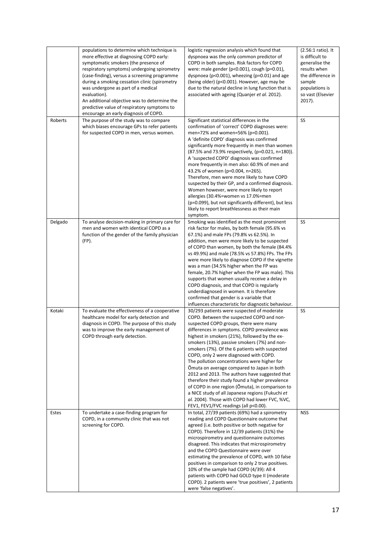|         | populations to determine which technique is<br>more effective at diagnosing COPD early:<br>symptomatic smokers (the presence of<br>respiratory symptoms) undergoing spirometry<br>(case-finding), versus a screening programme<br>during a smoking cessation clinic (spirometry<br>was undergone as part of a medical<br>evaluation).<br>An additional objective was to determine the<br>predictive value of respiratory symptoms to<br>encourage an early diagnosis of COPD. | logistic regression analysis which found that<br>dyspnoea was the only common predictor of<br>COPD in both samples. Risk factors for COPD<br>were: male gender (p<0.001), cough (p=0.01),<br>dyspnoea ( $p<0.001$ ), wheezing ( $p=0.01$ ) and age<br>(being older) (p<0.001). However, age may be<br>due to the natural decline in lung function that is<br>associated with ageing (Quanjer et al. 2012).                                                                                                                                                                                                                                                                                                                                                                          | (2.56:1 ratio). It<br>is difficult to<br>generalise the<br>results when<br>the difference in<br>sample<br>populations is<br>so vast (Elsevier<br>2017). |
|---------|-------------------------------------------------------------------------------------------------------------------------------------------------------------------------------------------------------------------------------------------------------------------------------------------------------------------------------------------------------------------------------------------------------------------------------------------------------------------------------|-------------------------------------------------------------------------------------------------------------------------------------------------------------------------------------------------------------------------------------------------------------------------------------------------------------------------------------------------------------------------------------------------------------------------------------------------------------------------------------------------------------------------------------------------------------------------------------------------------------------------------------------------------------------------------------------------------------------------------------------------------------------------------------|---------------------------------------------------------------------------------------------------------------------------------------------------------|
| Roberts | The purpose of the study was to compare<br>which biases encourage GPs to refer patients<br>for suspected COPD in men, versus women.                                                                                                                                                                                                                                                                                                                                           | Significant statistical differences in the<br>confirmation of 'correct' COPD diagnoses were:<br>men=72% and women=56% (p=0.001).<br>A 'definite COPD' diagnosis was confirmed<br>significantly more frequently in men than women<br>(87.5% and 73.9% respectively, (p=0.021, n=180)).<br>A 'suspected COPD' diagnosis was confirmed<br>more frequently in men also: 60.9% of men and<br>43.2% of women (p=0.004, n=265).<br>Therefore, men were more likely to have COPD<br>suspected by their GP, and a confirmed diagnosis.<br>Women however, were more likely to report<br>allergies (30.4%=women vs 17.0%=men<br>(p=0.099), but not significantly different), but less<br>likely to report breathlessness as their main<br>symptom.                                             | SS                                                                                                                                                      |
| Delgado | To analyse decision-making in primary care for<br>men and women with identical COPD as a<br>function of the gender of the family physician<br>(FP).                                                                                                                                                                                                                                                                                                                           | Smoking was identified as the most prominent<br>risk factor for males, by both female (95.6% vs<br>67.1%) and male FPs (79.8% vs 62.5%). In<br>addition, men were more likely to be suspected<br>of COPD than women, by both the female (84.4%<br>vs 49.9%) and male (78.5% vs 57.8%) FPs. The FPs<br>were more likely to diagnose COPD if the vignette<br>was a man (34.5% higher when the FP was<br>female, 20.7% higher when the FP was male). This<br>supports that women usually receive a delay in<br>COPD diagnosis, and that COPD is regularly<br>underdiagnosed in women. It is therefore<br>confirmed that gender is a variable that<br>influences characteristic for diagnostic behaviour.                                                                               | SS                                                                                                                                                      |
| Kotaki  | To evaluate the effectiveness of a cooperative<br>healthcare model for early detection and<br>diagnosis in COPD. The purpose of this study<br>was to improve the early management of<br>COPD through early detection.                                                                                                                                                                                                                                                         | 30/293 patients were suspected of moderate<br>COPD. Between the suspected COPD and non-<br>suspected COPD groups, there were many<br>differences in symptoms. COPD prevalence was<br>highest in smokers (21%), followed by the ex-<br>smokers (13%), passive smokers (7%) and non-<br>smokers (7%). Of the 6 patients with suspected<br>COPD, only 2 were diagnosed with COPD.<br>The pollution concentrations were higher for<br>Omuta on average compared to Japan in both<br>2012 and 2013. The authors have suggested that<br>therefore their study found a higher prevalence<br>of COPD in one region (Õmuta), in comparison to<br>a NICE study of all Japanese regions (Fukuchi et<br>al. 2004). Those with COPD had lower FVC, %VC,<br>FEV1, FEV1/FVC readings (all p<0.00). | SS                                                                                                                                                      |
| Estes   | To undertake a case-finding program for<br>COPD, in a community clinic that was not<br>screening for COPD.                                                                                                                                                                                                                                                                                                                                                                    | In total, 27/39 patients (69%) had a spirometry<br>reading and COPD Questionnaire outcome that<br>agreed (i.e. both positive or both negative for<br>COPD). Therefore in 12/39 patients (31%) the<br>microspirometry and questionnaire outcomes<br>disagreed. This indicates that microspirometry<br>and the COPD Questionnaire were over<br>estimating the prevalence of COPD, with 10 false<br>positives in comparison to only 2 true positives.<br>10% of the sample had COPD (4/39): All 4<br>patients with COPD had GOLD type II (moderate<br>COPD). 2 patients were 'true positives', 2 patients<br>were 'false negatives'.                                                                                                                                                   | <b>NSS</b>                                                                                                                                              |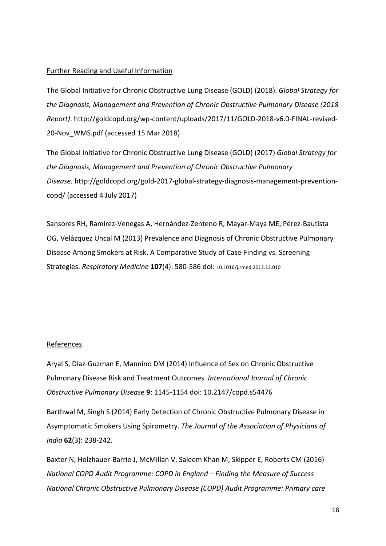## Further Reading and Useful Information

The Global Initiative for Chronic Obstructive Lung Disease (GOLD) (2018). *Global Strategy for the Diagnosis, Management and Prevention of Chronic Obstructive Pulmonary Disease (2018 Report)*. http://goldcopd.org/wp-content/uploads/2017/11/GOLD-2018-v6.0-FINAL-revised-20-Nov\_WMS.pdf (accessed 15 Mar 2018)

The Global Initiative for Chronic Obstructive Lung Disease (GOLD) (2017) *Global Strategy for the Diagnosis, Management and Prevention of Chronic Obstructive Pulmonary Disease.* http://goldcopd.org/gold-2017-global-strategy-diagnosis-management-preventioncopd/ (accessed 4 July 2017)

Sansores RH, Ramírez-Venegas A, Hernández-Zenteno R, Mayar-Maya ME, Pérez-Bautista OG, Velázquez Uncal M (2013) Prevalence and Diagnosis of Chronic Obstructive Pulmonary Disease Among Smokers at Risk. A Comparative Study of Case-Finding vs. Screening Strategies. *Respiratory Medicine* **107**(4): 580-586 doi: 10.1016/j.rmed.2012.12.010

#### References

Aryal S, Diaz-Guzman E, Mannino DM (2014) Influence of Sex on Chronic Obstructive Pulmonary Disease Risk and Treatment Outcomes. *International Journal of Chronic Obstructive Pulmonary Disease* **9**: 1145-1154 doi: 10.2147/copd.s54476

Barthwal M, Singh S (2014) Early Detection of Chronic Obstructive Pulmonary Disease in Asymptomatic Smokers Using Spirometry. *The Journal of the Association of Physicians of India* **62**(3): 238-242.

Baxter N, Holzhauer-Barrie J, McMillan V, Saleem Khan M, Skipper E, Roberts CM (2016) *National COPD Audit Programme: COPD in England – Finding the Measure of Success National Chronic Obstructive Pulmonary Disease (COPD) Audit Programme: Primary care*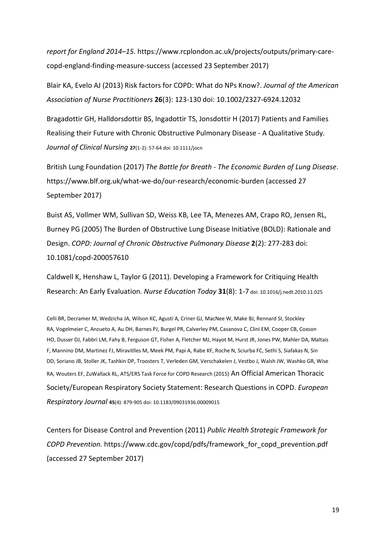*report for England 2014–15*. https://www.rcplondon.ac.uk/projects/outputs/primary-carecopd-england-finding-measure-success (accessed 23 September 2017)

Blair KA, Evelo AJ (2013) Risk factors for COPD: What do NPs Know?. *Journal of the American Association of Nurse Practitioners* **26**(3): 123-130 doi: 10.1002/2327-6924.12032

Bragadottir GH, Halldorsdottir BS, Ingadottir TS, Jonsdottir H (2017) Patients and Families Realising their Future with Chronic Obstructive Pulmonary Disease - A Qualitative Study. *Journal of Clinical Nursing* **27**(1-2): 57-64 doi: 10.1111/jocn

British Lung Foundation (2017) *The Battle for Breath - The Economic Burden of Lung Disease*. https://www.blf.org.uk/what-we-do/our-research/economic-burden (accessed 27 September 2017)

Buist AS, Vollmer WM, Sullivan SD, Weiss KB, Lee TA, Menezes AM, Crapo RO, Jensen RL, Burney PG (2005) The Burden of Obstructive Lung Disease Initiative (BOLD): Rationale and Design. *COPD: Journal of Chronic Obstructive Pulmonary Disease* **2**(2): 277-283 doi: 10.1081/copd-200057610

Caldwell K, Henshaw L, Taylor G (2011). Developing a Framework for Critiquing Health Research: An Early Evaluation*. Nurse Education Today* **31**(8): 1-7 doi: 10.1016/j.nedt.2010.11.025

Celli BR, Decramer M, Wedzicha JA, Wilson KC, Agustí A, Criner GJ, MacNee W, Make BJ, Rennard SI, Stockley RA, Vogelmeier C, Anzueto A, Au DH, Barnes PJ, Burgel PR, Calverley PM, Casanova C, Clini EM, Cooper CB, Coxson HO, Dusser DJ, Fabbri LM, Fahy B, Ferguson GT, Fisher A, Fletcher MJ, Hayot M, Hurst JR, Jones PW, Mahler DA, Maltais F, Mannino DM, Martinez FJ, Miravitlles M, Meek PM, Papi A, Rabe KF, Roche N, Sciurba FC, Sethi S, Siafakas N, Sin DD, Soriano JB, Stoller JK, Tashkin DP, Troosters T, Verleden GM, Verschakelen J, Vestbo J, Walsh JW, Washko GR, Wise RA, Wouters EF, ZuWallack RL, ATS/ERS Task Force for COPD Research (2015) An Official American Thoracic Society/European Respiratory Society Statement: Research Questions in COPD. *European Respiratory Journal* **45**(4): 879-905 doi: 10.1183/09031936.00009015

Centers for Disease Control and Prevention (2011) *Public Health Strategic Framework for COPD Prevention.* https://www.cdc.gov/copd/pdfs/framework\_for\_copd\_prevention.pdf (accessed 27 September 2017)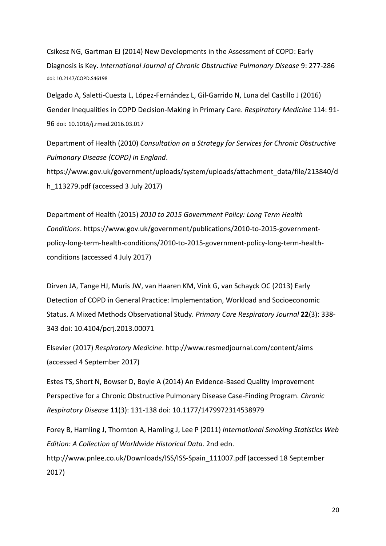Csikesz NG, Gartman EJ (2014) New Developments in the Assessment of COPD: Early Diagnosis is Key. *International Journal of Chronic Obstructive Pulmonary Disease* 9: 277-286 doi: 10.2147/COPD.S46198

Delgado A, Saletti-Cuesta L, López-Fernández L, Gil-Garrido N, Luna del Castillo J (2016) Gender Inequalities in COPD Decision-Making in Primary Care. *Respiratory Medicine* 114: 91- 96 doi: 10.1016/j.rmed.2016.03.017

Department of Health (2010) *Consultation on a Strategy for Services for Chronic Obstructive Pulmonary Disease (COPD) in England*.

https://www.gov.uk/government/uploads/system/uploads/attachment\_data/file/213840/d h\_113279.pdf (accessed 3 July 2017)

Department of Health (2015) *2010 to 2015 Government Policy: Long Term Health Conditions*. https://www.gov.uk/government/publications/2010-to-2015-governmentpolicy-long-term-health-conditions/2010-to-2015-government-policy-long-term-healthconditions (accessed 4 July 2017)

Dirven JA, Tange HJ, Muris JW, van Haaren KM, Vink G, van Schayck OC (2013) Early Detection of COPD in General Practice: Implementation, Workload and Socioeconomic Status. A Mixed Methods Observational Study. *Primary Care Respiratory Journal* **22**(3): 338- 343 doi: 10.4104/pcrj.2013.00071

Elsevier (2017) *Respiratory Medicine*. http://www.resmedjournal.com/content/aims (accessed 4 September 2017)

Estes TS, Short N, Bowser D, Boyle A (2014) An Evidence-Based Quality Improvement Perspective for a Chronic Obstructive Pulmonary Disease Case-Finding Program. *Chronic Respiratory Disease* **11**(3): 131-138 doi: 10.1177/1479972314538979

Forey B, Hamling J, Thornton A, Hamling J, Lee P (2011) *International Smoking Statistics Web Edition: A Collection of Worldwide Historical Data*. 2nd edn. http://www.pnlee.co.uk/Downloads/ISS/ISS-Spain\_111007.pdf (accessed 18 September 2017)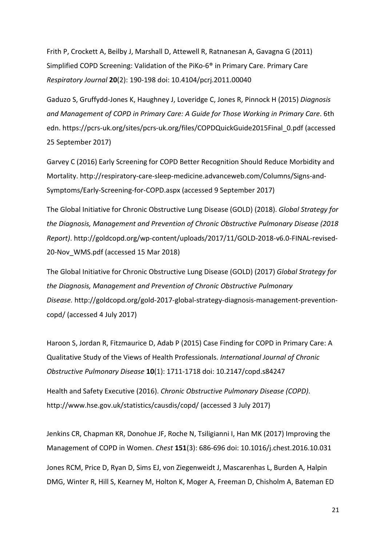Frith P, Crockett A, Beilby J, Marshall D, Attewell R, Ratnanesan A, Gavagna G (2011) Simplified COPD Screening: Validation of the PiKo-6® in Primary Care. Primary Care *Respiratory Journal* **20**(2): 190-198 doi: 10.4104/pcrj.2011.00040

Gaduzo S, Gruffydd-Jones K, Haughney J, Loveridge C, Jones R, Pinnock H (2015) *Diagnosis and Management of COPD in Primary Care: A Guide for Those Working in Primary Care*. 6th edn. https://pcrs-uk.org/sites/pcrs-uk.org/files/COPDQuickGuide2015Final\_0.pdf (accessed 25 September 2017)

Garvey C (2016) Early Screening for COPD Better Recognition Should Reduce Morbidity and Mortality. http://respiratory-care-sleep-medicine.advanceweb.com/Columns/Signs-and-Symptoms/Early-Screening-for-COPD.aspx (accessed 9 September 2017)

The Global Initiative for Chronic Obstructive Lung Disease (GOLD) (2018). *Global Strategy for the Diagnosis, Management and Prevention of Chronic Obstructive Pulmonary Disease (2018 Report)*. http://goldcopd.org/wp-content/uploads/2017/11/GOLD-2018-v6.0-FINAL-revised-20-Nov\_WMS.pdf (accessed 15 Mar 2018)

The Global Initiative for Chronic Obstructive Lung Disease (GOLD) (2017) *Global Strategy for the Diagnosis, Management and Prevention of Chronic Obstructive Pulmonary Disease.* http://goldcopd.org/gold-2017-global-strategy-diagnosis-management-preventioncopd/ (accessed 4 July 2017)

Haroon S, Jordan R, Fitzmaurice D, Adab P (2015) Case Finding for COPD in Primary Care: A Qualitative Study of the Views of Health Professionals. *International Journal of Chronic Obstructive Pulmonary Disease* **10**(1): 1711-1718 doi: 10.2147/copd.s84247

Health and Safety Executive (2016). *Chronic Obstructive Pulmonary Disease (COPD)*. http://www.hse.gov.uk/statistics/causdis/copd/ (accessed 3 July 2017)

Jenkins CR, Chapman KR, Donohue JF, Roche N, Tsiligianni I, Han MK (2017) Improving the Management of COPD in Women. *Chest* **151**(3): 686-696 doi: 10.1016/j.chest.2016.10.031 Jones RCM, Price D, Ryan D, Sims EJ, von Ziegenweidt J, Mascarenhas L, Burden A, Halpin DMG, Winter R, Hill S, Kearney M, Holton K, Moger A, Freeman D, Chisholm A, Bateman ED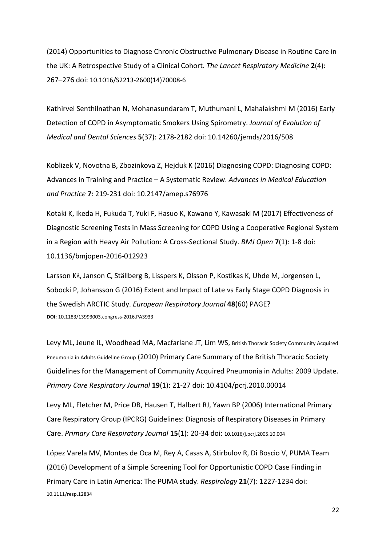(2014) Opportunities to Diagnose Chronic Obstructive Pulmonary Disease in Routine Care in the UK: A Retrospective Study of a Clinical Cohort. *The Lancet Respiratory Medicine* **2**(4): 267–276 doi: 10.1016/S2213-2600(14)70008-6

Kathirvel Senthilnathan N, Mohanasundaram T, Muthumani L, Mahalakshmi M (2016) Early Detection of COPD in Asymptomatic Smokers Using Spirometry. *Journal of Evolution of Medical and Dental Sciences* **5**(37): 2178-2182 doi: 10.14260/jemds/2016/508

Koblizek V, Novotna B, Zbozinkova Z, Hejduk K (2016) Diagnosing COPD: Diagnosing COPD: Advances in Training and Practice – A Systematic Review. *Advances in Medical Education and Practice* **7**: 219-231 doi: 10.2147/amep.s76976

Kotaki K, Ikeda H, Fukuda T, Yuki F, Hasuo K, Kawano Y, Kawasaki M (2017) Effectiveness of Diagnostic Screening Tests in Mass Screening for COPD Using a Cooperative Regional System in a Region with Heavy Air Pollution: A Cross-Sectional Study. *BMJ Open* **7**(1): 1-8 doi: 10.1136/bmjopen-2016-012923

Larsson KÅ, Janson C, Ställberg B, Lisspers K, Olsson P, Kostikas K, Uhde M, Jorgensen L, Sobocki P, Johansson G (2016) Extent and Impact of Late vs Early Stage COPD Diagnosis in the Swedish ARCTIC Study. *European Respiratory Journal* **48**(60) PAGE? **DOI:** 10.1183/13993003.congress-2016.PA3933

Levy ML, Jeune IL, Woodhead MA, Macfarlane JT, Lim WS, British Thoracic Society Community Acquired Pneumonia in Adults Guideline Group (2010) Primary Care Summary of the British Thoracic Society Guidelines for the Management of Community Acquired Pneumonia in Adults: 2009 Update. *Primary Care Respiratory Journal* **19**(1): 21-27 doi: 10.4104/pcrj.2010.00014

Levy ML, Fletcher M, Price DB, Hausen T, Halbert RJ, Yawn BP (2006) International Primary Care Respiratory Group (IPCRG) Guidelines: Diagnosis of Respiratory Diseases in Primary Care. *Primary Care Respiratory Journal* **15**(1): 20-34 doi: 10.1016/j.pcrj.2005.10.004

López Varela MV, Montes de Oca M, Rey A, Casas A, Stirbulov R, Di Boscio V, PUMA Team (2016) Development of a Simple Screening Tool for Opportunistic COPD Case Finding in Primary Care in Latin America: The PUMA study. *Respirology* **21**(7): 1227-1234 doi: 10.1111/resp.12834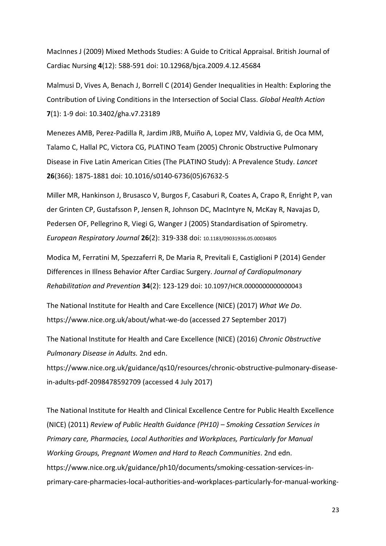MacInnes J (2009) Mixed Methods Studies: A Guide to Critical Appraisal. British Journal of Cardiac Nursing **4**(12): 588-591 doi: 10.12968/bjca.2009.4.12.45684

Malmusi D, Vives A, Benach J, Borrell C (2014) Gender Inequalities in Health: Exploring the Contribution of Living Conditions in the Intersection of Social Class. *Global Health Action* **7**(1): 1-9 doi: 10.3402/gha.v7.23189

Menezes AMB, Perez-Padilla R, Jardim JRB, Muiño A, Lopez MV, Valdivia G, de Oca MM, Talamo C, Hallal PC, Victora CG, PLATINO Team (2005) Chronic Obstructive Pulmonary Disease in Five Latin American Cities (The PLATINO Study): A Prevalence Study. *Lancet* **26**(366): 1875-1881 doi: 10.1016/s0140-6736(05)67632-5

Miller MR, Hankinson J, Brusasco V, Burgos F, Casaburi R, Coates A, Crapo R, Enright P, van der Grinten CP, Gustafsson P, Jensen R, Johnson DC, MacIntyre N, McKay R, Navajas D, Pedersen OF, Pellegrino R, Viegi G, Wanger J (2005) Standardisation of Spirometry. *European Respiratory Journal* **26**(2): 319-338 doi: 10.1183/09031936.05.00034805

Modica M, Ferratini M, Spezzaferri R, De Maria R, Previtali E, Castiglioni P (2014) Gender Differences in Illness Behavior After Cardiac Surgery. *Journal of Cardiopulmonary Rehabilitation and Prevention* **34**(2): 123-129 doi: 10.1097/HCR.0000000000000043

The National Institute for Health and Care Excellence (NICE) (2017) *What We Do*. https://www.nice.org.uk/about/what-we-do (accessed 27 September 2017)

The National Institute for Health and Care Excellence (NICE) (2016) *Chronic Obstructive Pulmonary Disease in Adults.* 2nd edn.

https://www.nice.org.uk/guidance/qs10/resources/chronic-obstructive-pulmonary-diseasein-adults-pdf-2098478592709 (accessed 4 July 2017)

The National Institute for Health and Clinical Excellence Centre for Public Health Excellence (NICE) (2011) *Review of Public Health Guidance (PH10) – Smoking Cessation Services in Primary care, Pharmacies, Local Authorities and Workplaces, Particularly for Manual Working Groups, Pregnant Women and Hard to Reach Communities*. 2nd edn. https://www.nice.org.uk/guidance/ph10/documents/smoking-cessation-services-inprimary-care-pharmacies-local-authorities-and-workplaces-particularly-for-manual-working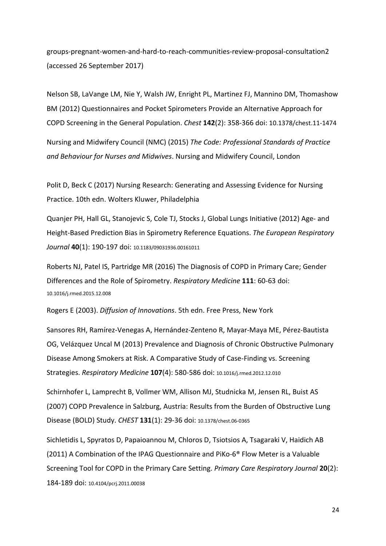groups-pregnant-women-and-hard-to-reach-communities-review-proposal-consultation2 (accessed 26 September 2017)

Nelson SB, LaVange LM, Nie Y, Walsh JW, Enright PL, Martinez FJ, Mannino DM, Thomashow BM (2012) Questionnaires and Pocket Spirometers Provide an Alternative Approach for COPD Screening in the General Population. *Chest* **142**(2): 358-366 doi: 10.1378/chest.11-1474

Nursing and Midwifery Council (NMC) (2015) *The Code: Professional Standards of Practice and Behaviour for Nurses and Midwives*. Nursing and Midwifery Council, London

Polit D, Beck C (2017) Nursing Research: Generating and Assessing Evidence for Nursing Practice. 10th edn. Wolters Kluwer, Philadelphia

Quanjer PH, Hall GL, Stanojevic S, Cole TJ, Stocks J, Global Lungs Initiative (2012) Age- and Height-Based Prediction Bias in Spirometry Reference Equations. *The European Respiratory Journal* **40**(1): 190-197 doi: 10.1183/09031936.00161011

Roberts NJ, Patel IS, Partridge MR (2016) The Diagnosis of COPD in Primary Care; Gender Differences and the Role of Spirometry. *Respiratory Medicine* **111**: 60-63 doi: 10.1016/j.rmed.2015.12.008

Rogers E (2003). *Diffusion of Innovations*. 5th edn. Free Press, New York

Sansores RH, Ramírez-Venegas A, Hernández-Zenteno R, Mayar-Maya ME, Pérez-Bautista OG, Velázquez Uncal M (2013) Prevalence and Diagnosis of Chronic Obstructive Pulmonary Disease Among Smokers at Risk. A Comparative Study of Case-Finding vs. Screening Strategies. *Respiratory Medicine* **107**(4): 580-586 doi: 10.1016/j.rmed.2012.12.010

Schirnhofer L, Lamprecht B, Vollmer WM, Allison MJ, Studnicka M, Jensen RL, Buist AS (2007) COPD Prevalence in Salzburg, Austria: Results from the Burden of Obstructive Lung Disease (BOLD) Study. *CHEST* **131**(1): 29-36 doi: 10.1378/chest.06-0365

Sichletidis L, Spyratos D, Papaioannou M, Chloros D, Tsiotsios A, Tsagaraki V, Haidich AB (2011) A Combination of the IPAG Questionnaire and PiKo-6® Flow Meter is a Valuable Screening Tool for COPD in the Primary Care Setting. *Primary Care Respiratory Journal* **20**(2): 184-189 doi: 10.4104/pcrj.2011.00038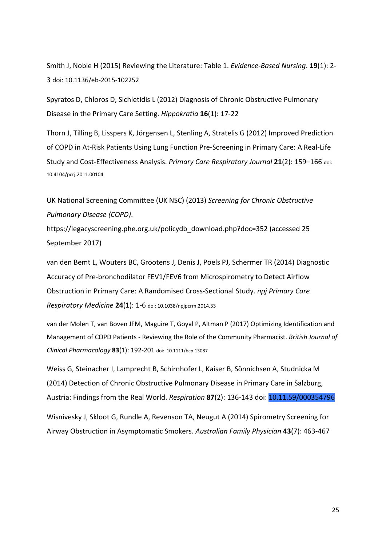Smith J, Noble H (2015) Reviewing the Literature: Table 1. *Evidence-Based Nursing*. **19**(1): 2- 3 doi: 10.1136/eb-2015-102252

Spyratos D, Chloros D, Sichletidis L (2012) Diagnosis of Chronic Obstructive Pulmonary Disease in the Primary Care Setting. *Hippokratia* **16**(1): 17-22

Thorn J, Tilling B, Lisspers K, Jörgensen L, Stenling A, Stratelis G (2012) Improved Prediction of COPD in At-Risk Patients Using Lung Function Pre-Screening in Primary Care: A Real-Life Study and Cost-Effectiveness Analysis. *Primary Care Respiratory Journal* **21**(2): 159–166 doi: 10.4104/pcrj.2011.00104

UK National Screening Committee (UK NSC) (2013) *Screening for Chronic Obstructive Pulmonary Disease (COPD)*.

https://legacyscreening.phe.org.uk/policydb\_download.php?doc=352 (accessed 25 September 2017)

van den Bemt L, Wouters BC, Grootens J, Denis J, Poels PJ, Schermer TR (2014) Diagnostic Accuracy of Pre-bronchodilator FEV1/FEV6 from Microspirometry to Detect Airflow Obstruction in Primary Care: A Randomised Cross-Sectional Study. *npj Primary Care Respiratory Medicine* **24**(1): 1-6 doi: 10.1038/npjpcrm.2014.33

van der Molen T, van Boven JFM, Maguire T, Goyal P, Altman P (2017) Optimizing Identification and Management of COPD Patients - Reviewing the Role of the Community Pharmacist. *British Journal of Clinical Pharmacology* **83**(1): 192-201 doi: 10.1111/bcp.13087

Weiss G, Steinacher I, Lamprecht B, Schirnhofer L, Kaiser B, Sönnichsen A, Studnicka M (2014) Detection of Chronic Obstructive Pulmonary Disease in Primary Care in Salzburg, Austria: Findings from the Real World. *Respiration* **87**(2): 136-143 doi: 10.11.59/000354796

Wisnivesky J, Skloot G, Rundle A, Revenson TA, Neugut A (2014) Spirometry Screening for Airway Obstruction in Asymptomatic Smokers. *Australian Family Physician* **43**(7): 463-467